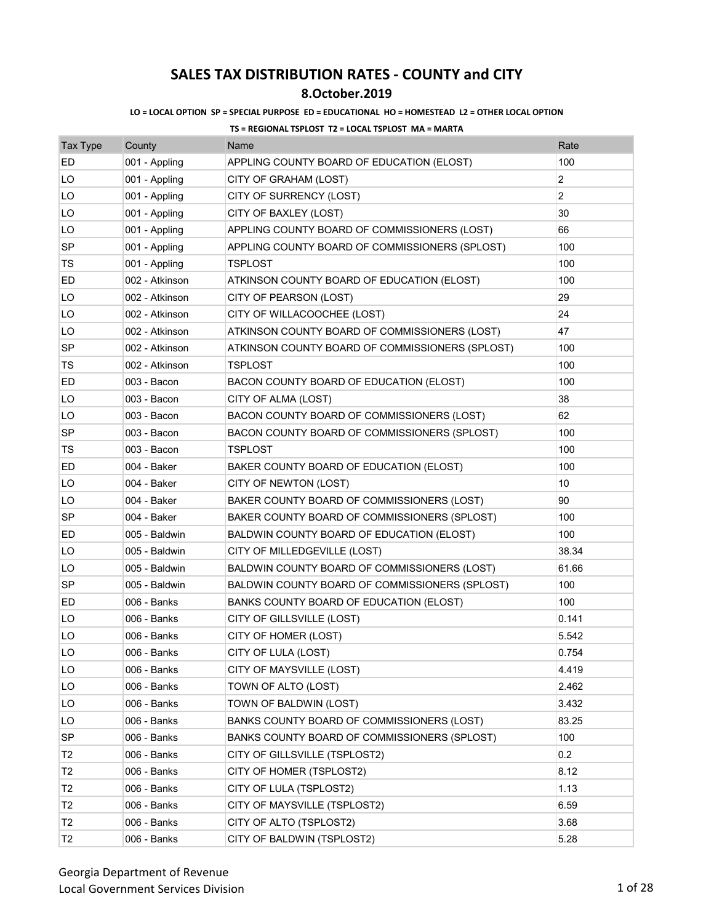### **8.October.2019**

### **LO = LOCAL OPTION SP = SPECIAL PURPOSE ED = EDUCATIONAL HO = HOMESTEAD L2 = OTHER LOCAL OPTION**

| <b>Tax Type</b> | County         | Name                                            | Rate           |
|-----------------|----------------|-------------------------------------------------|----------------|
| ED              | 001 - Appling  | APPLING COUNTY BOARD OF EDUCATION (ELOST)       | 100            |
| LO              | 001 - Appling  | CITY OF GRAHAM (LOST)                           | 2              |
| LO              | 001 - Appling  | CITY OF SURRENCY (LOST)                         | $\overline{2}$ |
| LO              | 001 - Appling  | CITY OF BAXLEY (LOST)                           | 30             |
| LO              | 001 - Appling  | APPLING COUNTY BOARD OF COMMISSIONERS (LOST)    | 66             |
| <b>SP</b>       | 001 - Appling  | APPLING COUNTY BOARD OF COMMISSIONERS (SPLOST)  | 100            |
| TS              | 001 - Appling  | <b>TSPLOST</b>                                  | 100            |
| ED              | 002 - Atkinson | ATKINSON COUNTY BOARD OF EDUCATION (ELOST)      | 100            |
| LO              | 002 - Atkinson | CITY OF PEARSON (LOST)                          | 29             |
| LO              | 002 - Atkinson | CITY OF WILLACOOCHEE (LOST)                     | 24             |
| LO              | 002 - Atkinson | ATKINSON COUNTY BOARD OF COMMISSIONERS (LOST)   | 47             |
| <b>SP</b>       | 002 - Atkinson | ATKINSON COUNTY BOARD OF COMMISSIONERS (SPLOST) | 100            |
| TS              | 002 - Atkinson | <b>TSPLOST</b>                                  | 100            |
| ED              | 003 - Bacon    | BACON COUNTY BOARD OF EDUCATION (ELOST)         | 100            |
| LO              | 003 - Bacon    | CITY OF ALMA (LOST)                             | 38             |
| LO              | 003 - Bacon    | BACON COUNTY BOARD OF COMMISSIONERS (LOST)      | 62             |
| <b>SP</b>       | 003 - Bacon    | BACON COUNTY BOARD OF COMMISSIONERS (SPLOST)    | 100            |
| TS              | 003 - Bacon    | TSPLOST                                         | 100            |
| ED              | 004 - Baker    | BAKER COUNTY BOARD OF EDUCATION (ELOST)         | 100            |
| LO              | 004 - Baker    | CITY OF NEWTON (LOST)                           | 10             |
| LO              | 004 - Baker    | BAKER COUNTY BOARD OF COMMISSIONERS (LOST)      | 90             |
| SP              | 004 - Baker    | BAKER COUNTY BOARD OF COMMISSIONERS (SPLOST)    | 100            |
| ED              | 005 - Baldwin  | BALDWIN COUNTY BOARD OF EDUCATION (ELOST)       | 100            |
| LO              | 005 - Baldwin  | CITY OF MILLEDGEVILLE (LOST)                    | 38.34          |
| LO              | 005 - Baldwin  | BALDWIN COUNTY BOARD OF COMMISSIONERS (LOST)    | 61.66          |
| SP              | 005 - Baldwin  | BALDWIN COUNTY BOARD OF COMMISSIONERS (SPLOST)  | 100            |
| ED              | 006 - Banks    | BANKS COUNTY BOARD OF EDUCATION (ELOST)         | 100            |
| LO              | 006 - Banks    | CITY OF GILLSVILLE (LOST)                       | 0.141          |
| LO              | 006 - Banks    | CITY OF HOMER (LOST)                            | 5.542          |
| LO              | 006 - Banks    | CITY OF LULA (LOST)                             | 0.754          |
| LO              | 006 - Banks    | CITY OF MAYSVILLE (LOST)                        | 4.419          |
| LO              | 006 - Banks    | TOWN OF ALTO (LOST)                             | 2.462          |
| LO              | 006 - Banks    | TOWN OF BALDWIN (LOST)                          | 3.432          |
| LO              | 006 - Banks    | BANKS COUNTY BOARD OF COMMISSIONERS (LOST)      | 83.25          |
| <b>SP</b>       | 006 - Banks    | BANKS COUNTY BOARD OF COMMISSIONERS (SPLOST)    | 100            |
| T2              | 006 - Banks    | CITY OF GILLSVILLE (TSPLOST2)                   | 0.2            |
| T <sub>2</sub>  | 006 - Banks    | CITY OF HOMER (TSPLOST2)                        | 8.12           |
| T2              | 006 - Banks    | CITY OF LULA (TSPLOST2)                         | 1.13           |
| Τ2              | 006 - Banks    | CITY OF MAYSVILLE (TSPLOST2)                    | 6.59           |
| T <sub>2</sub>  | 006 - Banks    | CITY OF ALTO (TSPLOST2)                         | 3.68           |
| T2              | 006 - Banks    | CITY OF BALDWIN (TSPLOST2)                      | 5.28           |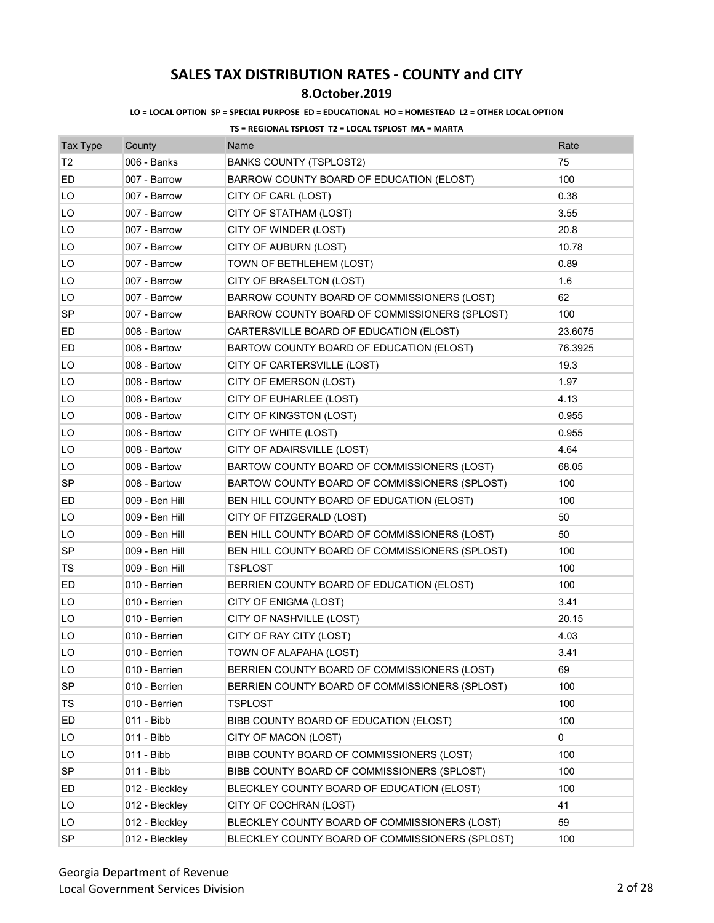### **8.October.2019**

### **LO = LOCAL OPTION SP = SPECIAL PURPOSE ED = EDUCATIONAL HO = HOMESTEAD L2 = OTHER LOCAL OPTION**

| <b>Tax Type</b> | County         | Name                                            | Rate    |
|-----------------|----------------|-------------------------------------------------|---------|
| Т2              | 006 - Banks    | <b>BANKS COUNTY (TSPLOST2)</b>                  | 75      |
| ED              | 007 - Barrow   | BARROW COUNTY BOARD OF EDUCATION (ELOST)        | 100     |
| LO              | 007 - Barrow   | CITY OF CARL (LOST)                             | 0.38    |
| LO              | 007 - Barrow   | CITY OF STATHAM (LOST)                          | 3.55    |
| LO              | 007 - Barrow   | CITY OF WINDER (LOST)                           | 20.8    |
| LO              | 007 - Barrow   | CITY OF AUBURN (LOST)                           | 10.78   |
| LO              | 007 - Barrow   | TOWN OF BETHLEHEM (LOST)                        | 0.89    |
| LO              | 007 - Barrow   | CITY OF BRASELTON (LOST)                        | 1.6     |
| LO              | 007 - Barrow   | BARROW COUNTY BOARD OF COMMISSIONERS (LOST)     | 62      |
| <b>SP</b>       | 007 - Barrow   | BARROW COUNTY BOARD OF COMMISSIONERS (SPLOST)   | 100     |
| ED              | 008 - Bartow   | CARTERSVILLE BOARD OF EDUCATION (ELOST)         | 23.6075 |
| ED              | 008 - Bartow   | BARTOW COUNTY BOARD OF EDUCATION (ELOST)        | 76.3925 |
| LO              | 008 - Bartow   | CITY OF CARTERSVILLE (LOST)                     | 19.3    |
| LO              | 008 - Bartow   | CITY OF EMERSON (LOST)                          | 1.97    |
| LO              | 008 - Bartow   | CITY OF EUHARLEE (LOST)                         | 4.13    |
| LO              | 008 - Bartow   | CITY OF KINGSTON (LOST)                         | 0.955   |
| LO              | 008 - Bartow   | CITY OF WHITE (LOST)                            | 0.955   |
| LO              | 008 - Bartow   | CITY OF ADAIRSVILLE (LOST)                      | 4.64    |
| LO              | 008 - Bartow   | BARTOW COUNTY BOARD OF COMMISSIONERS (LOST)     | 68.05   |
| SP              | 008 - Bartow   | BARTOW COUNTY BOARD OF COMMISSIONERS (SPLOST)   | 100     |
| ED              | 009 - Ben Hill | BEN HILL COUNTY BOARD OF EDUCATION (ELOST)      | 100     |
| LO              | 009 - Ben Hill | CITY OF FITZGERALD (LOST)                       | 50      |
| LO              | 009 - Ben Hill | BEN HILL COUNTY BOARD OF COMMISSIONERS (LOST)   | 50      |
| <b>SP</b>       | 009 - Ben Hill | BEN HILL COUNTY BOARD OF COMMISSIONERS (SPLOST) | 100     |
| TS              | 009 - Ben Hill | <b>TSPLOST</b>                                  | 100     |
| ED              | 010 - Berrien  | BERRIEN COUNTY BOARD OF EDUCATION (ELOST)       | 100     |
| LO              | 010 - Berrien  | CITY OF ENIGMA (LOST)                           | 3.41    |
| LO              | 010 - Berrien  | CITY OF NASHVILLE (LOST)                        | 20.15   |
| LO              | 010 - Berrien  | CITY OF RAY CITY (LOST)                         | 4.03    |
| LO              | 010 - Berrien  | TOWN OF ALAPAHA (LOST)                          | 3.41    |
| LO              | 010 - Berrien  | BERRIEN COUNTY BOARD OF COMMISSIONERS (LOST)    | 69      |
| SP              | 010 - Berrien  | BERRIEN COUNTY BOARD OF COMMISSIONERS (SPLOST)  | 100     |
| TS              | 010 - Berrien  | <b>TSPLOST</b>                                  | 100     |
| ED              | 011 - Bibb     | BIBB COUNTY BOARD OF EDUCATION (ELOST)          | 100     |
| LO              | 011 - Bibb     | CITY OF MACON (LOST)                            | 0       |
| LO              | 011 - Bibb     | BIBB COUNTY BOARD OF COMMISSIONERS (LOST)       | 100     |
| SP              | 011 - Bibb     | BIBB COUNTY BOARD OF COMMISSIONERS (SPLOST)     | 100     |
| ED              | 012 - Bleckley | BLECKLEY COUNTY BOARD OF EDUCATION (ELOST)      | 100     |
| LO              | 012 - Bleckley | CITY OF COCHRAN (LOST)                          | 41      |
| LO              | 012 - Bleckley | BLECKLEY COUNTY BOARD OF COMMISSIONERS (LOST)   | 59      |
| SP              | 012 - Bleckley | BLECKLEY COUNTY BOARD OF COMMISSIONERS (SPLOST) | 100     |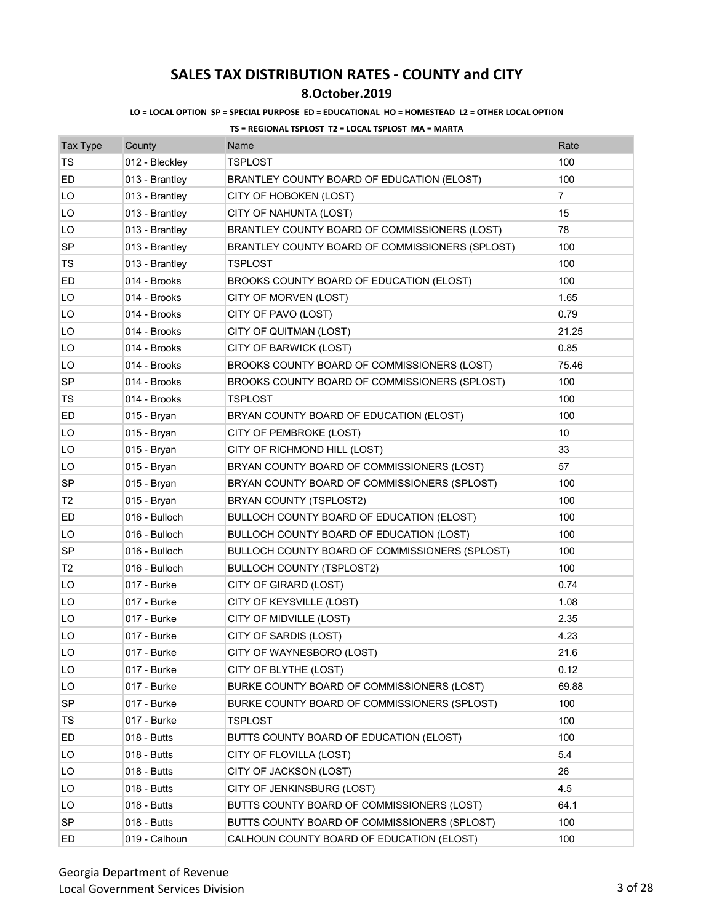## **8.October.2019**

### **LO = LOCAL OPTION SP = SPECIAL PURPOSE ED = EDUCATIONAL HO = HOMESTEAD L2 = OTHER LOCAL OPTION**

| <b>Tax Type</b> | County         | Name                                            | Rate           |
|-----------------|----------------|-------------------------------------------------|----------------|
| TS              | 012 - Bleckley | <b>TSPLOST</b>                                  | 100            |
| ED              | 013 - Brantley | BRANTLEY COUNTY BOARD OF EDUCATION (ELOST)      | 100            |
| LO              | 013 - Brantley | CITY OF HOBOKEN (LOST)                          | $\overline{7}$ |
| LO              | 013 - Brantley | CITY OF NAHUNTA (LOST)                          | 15             |
| LO              | 013 - Brantley | BRANTLEY COUNTY BOARD OF COMMISSIONERS (LOST)   | 78             |
| <b>SP</b>       | 013 - Brantley | BRANTLEY COUNTY BOARD OF COMMISSIONERS (SPLOST) | 100            |
| TS              | 013 - Brantley | <b>TSPLOST</b>                                  | 100            |
| ED              | 014 - Brooks   | BROOKS COUNTY BOARD OF EDUCATION (ELOST)        | 100            |
| LO              | 014 - Brooks   | CITY OF MORVEN (LOST)                           | 1.65           |
| LO              | 014 - Brooks   | CITY OF PAVO (LOST)                             | 0.79           |
| LO              | 014 - Brooks   | CITY OF QUITMAN (LOST)                          | 21.25          |
| LO              | 014 - Brooks   | CITY OF BARWICK (LOST)                          | 0.85           |
| LO              | 014 - Brooks   | BROOKS COUNTY BOARD OF COMMISSIONERS (LOST)     | 75.46          |
| <b>SP</b>       | 014 - Brooks   | BROOKS COUNTY BOARD OF COMMISSIONERS (SPLOST)   | 100            |
| TS              | 014 - Brooks   | TSPLOST                                         | 100            |
| ED              | 015 - Bryan    | BRYAN COUNTY BOARD OF EDUCATION (ELOST)         | 100            |
| LO              | 015 - Bryan    | CITY OF PEMBROKE (LOST)                         | 10             |
| LO              | 015 - Bryan    | CITY OF RICHMOND HILL (LOST)                    | 33             |
| LO              | 015 - Bryan    | BRYAN COUNTY BOARD OF COMMISSIONERS (LOST)      | 57             |
| SP              | 015 - Bryan    | BRYAN COUNTY BOARD OF COMMISSIONERS (SPLOST)    | 100            |
| T2              | 015 - Bryan    | BRYAN COUNTY (TSPLOST2)                         | 100            |
| ED              | 016 - Bulloch  | BULLOCH COUNTY BOARD OF EDUCATION (ELOST)       | 100            |
| LO              | 016 - Bulloch  | BULLOCH COUNTY BOARD OF EDUCATION (LOST)        | 100            |
| <b>SP</b>       | 016 - Bulloch  | BULLOCH COUNTY BOARD OF COMMISSIONERS (SPLOST)  | 100            |
| T <sub>2</sub>  | 016 - Bulloch  | <b>BULLOCH COUNTY (TSPLOST2)</b>                | 100            |
| LO              | 017 - Burke    | CITY OF GIRARD (LOST)                           | 0.74           |
| LO              | 017 - Burke    | CITY OF KEYSVILLE (LOST)                        | 1.08           |
| LO              | 017 - Burke    | CITY OF MIDVILLE (LOST)                         | 2.35           |
| LO              | 017 - Burke    | CITY OF SARDIS (LOST)                           | 4.23           |
| LO              | 017 - Burke    | CITY OF WAYNESBORO (LOST)                       | 21.6           |
| LO              | 017 - Burke    | CITY OF BLYTHE (LOST)                           | 0.12           |
| LO              | 017 - Burke    | BURKE COUNTY BOARD OF COMMISSIONERS (LOST)      | 69.88          |
| <b>SP</b>       | 017 - Burke    | BURKE COUNTY BOARD OF COMMISSIONERS (SPLOST)    | 100            |
| TS              | 017 - Burke    | TSPLOST                                         | 100            |
| ED              | 018 - Butts    | BUTTS COUNTY BOARD OF EDUCATION (ELOST)         | 100            |
| LO              | 018 - Butts    | CITY OF FLOVILLA (LOST)                         | 5.4            |
| LO              | 018 - Butts    | CITY OF JACKSON (LOST)                          | 26             |
| LO              | 018 - Butts    | CITY OF JENKINSBURG (LOST)                      | 4.5            |
| LO              | 018 - Butts    | BUTTS COUNTY BOARD OF COMMISSIONERS (LOST)      | 64.1           |
| SP              | 018 - Butts    | BUTTS COUNTY BOARD OF COMMISSIONERS (SPLOST)    | 100            |
| ED              | 019 - Calhoun  | CALHOUN COUNTY BOARD OF EDUCATION (ELOST)       | 100            |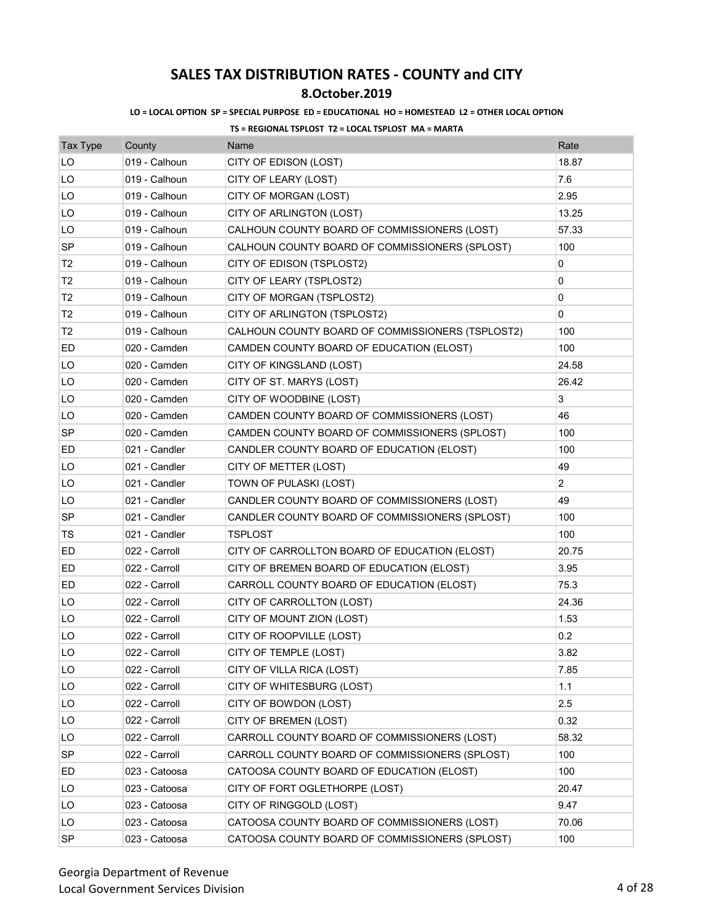## **8.October.2019**

### **LO = LOCAL OPTION SP = SPECIAL PURPOSE ED = EDUCATIONAL HO = HOMESTEAD L2 = OTHER LOCAL OPTION**

| <b>Tax Type</b> | County        | Name                                             | Rate           |
|-----------------|---------------|--------------------------------------------------|----------------|
| LO              | 019 - Calhoun | CITY OF EDISON (LOST)                            | 18.87          |
| LO              | 019 - Calhoun | CITY OF LEARY (LOST)                             | 7.6            |
| LO              | 019 - Calhoun | CITY OF MORGAN (LOST)                            | 2.95           |
| LO              | 019 - Calhoun | CITY OF ARLINGTON (LOST)                         | 13.25          |
| LO              | 019 - Calhoun | CALHOUN COUNTY BOARD OF COMMISSIONERS (LOST)     | 57.33          |
| <b>SP</b>       | 019 - Calhoun | CALHOUN COUNTY BOARD OF COMMISSIONERS (SPLOST)   | 100            |
| T <sub>2</sub>  | 019 - Calhoun | CITY OF EDISON (TSPLOST2)                        | 0              |
| Т2              | 019 - Calhoun | CITY OF LEARY (TSPLOST2)                         | 0              |
| T <sub>2</sub>  | 019 - Calhoun | CITY OF MORGAN (TSPLOST2)                        | 0              |
| T2              | 019 - Calhoun | CITY OF ARLINGTON (TSPLOST2)                     | 0              |
| Т2              | 019 - Calhoun | CALHOUN COUNTY BOARD OF COMMISSIONERS (TSPLOST2) | 100            |
| ED              | 020 - Camden  | CAMDEN COUNTY BOARD OF EDUCATION (ELOST)         | 100            |
| LO              | 020 - Camden  | CITY OF KINGSLAND (LOST)                         | 24.58          |
| LO              | 020 - Camden  | CITY OF ST. MARYS (LOST)                         | 26.42          |
| LO              | 020 - Camden  | CITY OF WOODBINE (LOST)                          | 3              |
| LO              | 020 - Camden  | CAMDEN COUNTY BOARD OF COMMISSIONERS (LOST)      | 46             |
| <b>SP</b>       | 020 - Camden  | CAMDEN COUNTY BOARD OF COMMISSIONERS (SPLOST)    | 100            |
| ED              | 021 - Candler | CANDLER COUNTY BOARD OF EDUCATION (ELOST)        | 100            |
| LO              | 021 - Candler | CITY OF METTER (LOST)                            | 49             |
| LO              | 021 - Candler | TOWN OF PULASKI (LOST)                           | $\overline{2}$ |
| LO              | 021 - Candler | CANDLER COUNTY BOARD OF COMMISSIONERS (LOST)     | 49             |
| <b>SP</b>       | 021 - Candler | CANDLER COUNTY BOARD OF COMMISSIONERS (SPLOST)   | 100            |
| TS              | 021 - Candler | TSPLOST                                          | 100            |
| ED              | 022 - Carroll | CITY OF CARROLLTON BOARD OF EDUCATION (ELOST)    | 20.75          |
| ED              | 022 - Carroll | CITY OF BREMEN BOARD OF EDUCATION (ELOST)        | 3.95           |
| ED              | 022 - Carroll | CARROLL COUNTY BOARD OF EDUCATION (ELOST)        | 75.3           |
| LO              | 022 - Carroll | CITY OF CARROLLTON (LOST)                        | 24.36          |
| LO              | 022 - Carroll | CITY OF MOUNT ZION (LOST)                        | 1.53           |
| LO              | 022 - Carroll | CITY OF ROOPVILLE (LOST)                         | 0.2            |
| LO              | 022 - Carroll | CITY OF TEMPLE (LOST)                            | 3.82           |
| LO              | 022 - Carroll | CITY OF VILLA RICA (LOST)                        | 7.85           |
| LO              | 022 - Carroll | CITY OF WHITESBURG (LOST)                        | 1.1            |
| LO              | 022 - Carroll | CITY OF BOWDON (LOST)                            | 2.5            |
| LO              | 022 - Carroll | CITY OF BREMEN (LOST)                            | 0.32           |
| LO              | 022 - Carroll | CARROLL COUNTY BOARD OF COMMISSIONERS (LOST)     | 58.32          |
| <b>SP</b>       | 022 - Carroll | CARROLL COUNTY BOARD OF COMMISSIONERS (SPLOST)   | 100            |
| ED              | 023 - Catoosa | CATOOSA COUNTY BOARD OF EDUCATION (ELOST)        | 100            |
| LO              | 023 - Catoosa | CITY OF FORT OGLETHORPE (LOST)                   | 20.47          |
| LO              | 023 - Catoosa | CITY OF RINGGOLD (LOST)                          | 9.47           |
| LO.             | 023 - Catoosa | CATOOSA COUNTY BOARD OF COMMISSIONERS (LOST)     | 70.06          |
| <b>SP</b>       | 023 - Catoosa | CATOOSA COUNTY BOARD OF COMMISSIONERS (SPLOST)   | 100            |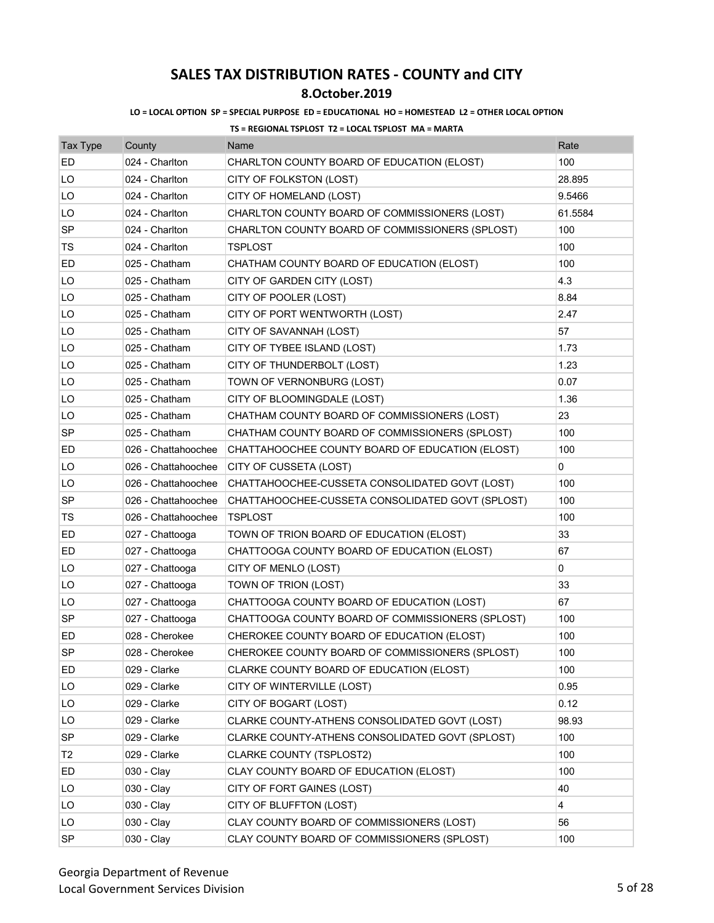## **8.October.2019**

### **LO = LOCAL OPTION SP = SPECIAL PURPOSE ED = EDUCATIONAL HO = HOMESTEAD L2 = OTHER LOCAL OPTION**

| <b>Tax Type</b> | County              | Name                                             | Rate    |
|-----------------|---------------------|--------------------------------------------------|---------|
| ED              | 024 - Charlton      | CHARLTON COUNTY BOARD OF EDUCATION (ELOST)       | 100     |
| LO              | 024 - Charlton      | CITY OF FOLKSTON (LOST)                          | 28.895  |
| LO              | 024 - Charlton      | CITY OF HOMELAND (LOST)                          | 9.5466  |
| LO              | 024 - Charlton      | CHARLTON COUNTY BOARD OF COMMISSIONERS (LOST)    | 61.5584 |
| SP              | 024 - Charlton      | CHARLTON COUNTY BOARD OF COMMISSIONERS (SPLOST)  | 100     |
| TS              | 024 - Charlton      | TSPLOST                                          | 100     |
| ED              | 025 - Chatham       | CHATHAM COUNTY BOARD OF EDUCATION (ELOST)        | 100     |
| LO              | 025 - Chatham       | CITY OF GARDEN CITY (LOST)                       | 4.3     |
| LO              | 025 - Chatham       | CITY OF POOLER (LOST)                            | 8.84    |
| LO              | 025 - Chatham       | CITY OF PORT WENTWORTH (LOST)                    | 2.47    |
| LO              | 025 - Chatham       | CITY OF SAVANNAH (LOST)                          | 57      |
| LO              | 025 - Chatham       | CITY OF TYBEE ISLAND (LOST)                      | 1.73    |
| LO              | 025 - Chatham       | CITY OF THUNDERBOLT (LOST)                       | 1.23    |
| LO              | 025 - Chatham       | TOWN OF VERNONBURG (LOST)                        | 0.07    |
| LO              | 025 - Chatham       | CITY OF BLOOMINGDALE (LOST)                      | 1.36    |
| LO              | 025 - Chatham       | CHATHAM COUNTY BOARD OF COMMISSIONERS (LOST)     | 23      |
| SP              | 025 - Chatham       | CHATHAM COUNTY BOARD OF COMMISSIONERS (SPLOST)   | 100     |
| ED              | 026 - Chattahoochee | CHATTAHOOCHEE COUNTY BOARD OF EDUCATION (ELOST)  | 100     |
| LO              | 026 - Chattahoochee | CITY OF CUSSETA (LOST)                           | 0       |
| LO              | 026 - Chattahoochee | CHATTAHOOCHEE-CUSSETA CONSOLIDATED GOVT (LOST)   | 100     |
| SP              | 026 - Chattahoochee | CHATTAHOOCHEE-CUSSETA CONSOLIDATED GOVT (SPLOST) | 100     |
| TS              | 026 - Chattahoochee | TSPLOST                                          | 100     |
| ED              | 027 - Chattooga     | TOWN OF TRION BOARD OF EDUCATION (ELOST)         | 33      |
| ED              | 027 - Chattooga     | CHATTOOGA COUNTY BOARD OF EDUCATION (ELOST)      | 67      |
| LO              | 027 - Chattooga     | CITY OF MENLO (LOST)                             | 0       |
| LO              | 027 - Chattooga     | TOWN OF TRION (LOST)                             | 33      |
| LO              | 027 - Chattooga     | CHATTOOGA COUNTY BOARD OF EDUCATION (LOST)       | 67      |
| SP              | 027 - Chattooga     | CHATTOOGA COUNTY BOARD OF COMMISSIONERS (SPLOST) | 100     |
| ED              | 028 - Cherokee      | CHEROKEE COUNTY BOARD OF EDUCATION (ELOST)       | 100     |
| <b>SP</b>       | 028 - Cherokee      | CHEROKEE COUNTY BOARD OF COMMISSIONERS (SPLOST)  | 100     |
| ED              | 029 - Clarke        | CLARKE COUNTY BOARD OF EDUCATION (ELOST)         | 100     |
| LO              | 029 - Clarke        | CITY OF WINTERVILLE (LOST)                       | 0.95    |
| LO              | 029 - Clarke        | CITY OF BOGART (LOST)                            | 0.12    |
| LO              | 029 - Clarke        | CLARKE COUNTY-ATHENS CONSOLIDATED GOVT (LOST)    | 98.93   |
| <b>SP</b>       | 029 - Clarke        | CLARKE COUNTY-ATHENS CONSOLIDATED GOVT (SPLOST)  | 100     |
| T2              | 029 - Clarke        | CLARKE COUNTY (TSPLOST2)                         | 100     |
| ED              | 030 - Clay          | CLAY COUNTY BOARD OF EDUCATION (ELOST)           | 100     |
| LO              | 030 - Clay          | CITY OF FORT GAINES (LOST)                       | 40      |
| LO              | 030 - Clay          | CITY OF BLUFFTON (LOST)                          | 4       |
| LO              | 030 - Clay          | CLAY COUNTY BOARD OF COMMISSIONERS (LOST)        | 56      |
| <b>SP</b>       | 030 - Clay          | CLAY COUNTY BOARD OF COMMISSIONERS (SPLOST)      | 100     |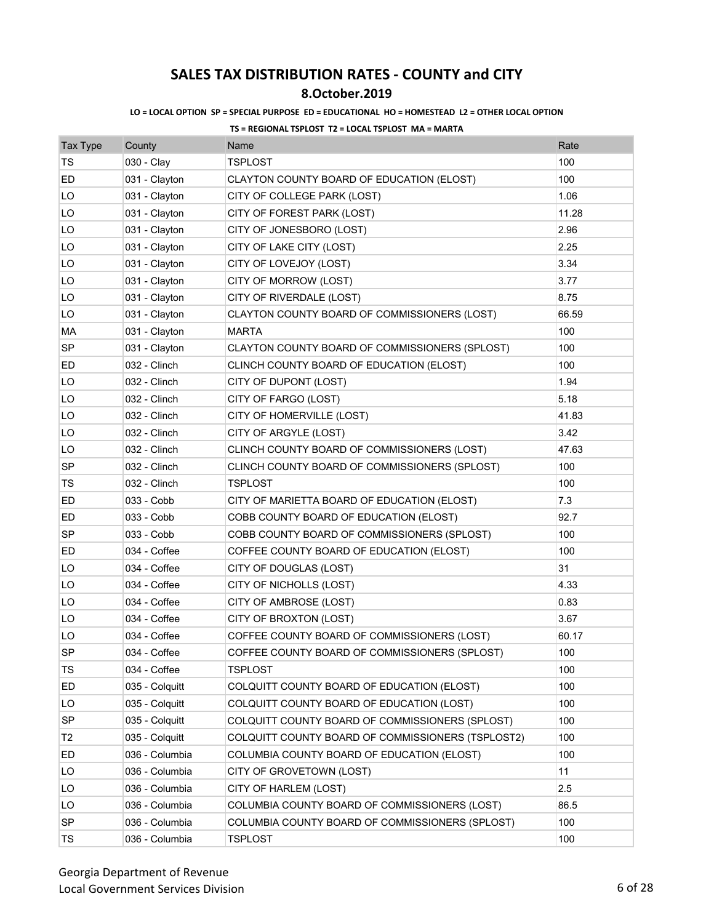## **8.October.2019**

### **LO = LOCAL OPTION SP = SPECIAL PURPOSE ED = EDUCATIONAL HO = HOMESTEAD L2 = OTHER LOCAL OPTION**

| Tax Type       | County         | Name                                              | Rate  |
|----------------|----------------|---------------------------------------------------|-------|
| <b>TS</b>      | 030 - Clay     | <b>TSPLOST</b>                                    | 100   |
| ED             | 031 - Clayton  | CLAYTON COUNTY BOARD OF EDUCATION (ELOST)         | 100   |
| LO             | 031 - Clayton  | CITY OF COLLEGE PARK (LOST)                       | 1.06  |
| LO             | 031 - Clayton  | CITY OF FOREST PARK (LOST)                        | 11.28 |
| LO             | 031 - Clayton  | CITY OF JONESBORO (LOST)                          | 2.96  |
| LO             | 031 - Clayton  | CITY OF LAKE CITY (LOST)                          | 2.25  |
| LO             | 031 - Clayton  | CITY OF LOVEJOY (LOST)                            | 3.34  |
| LO             | 031 - Clayton  | CITY OF MORROW (LOST)                             | 3.77  |
| LO             | 031 - Clayton  | CITY OF RIVERDALE (LOST)                          | 8.75  |
| LO             | 031 - Clayton  | CLAYTON COUNTY BOARD OF COMMISSIONERS (LOST)      | 66.59 |
| MA             | 031 - Clayton  | <b>MARTA</b>                                      | 100   |
| SP             | 031 - Clayton  | CLAYTON COUNTY BOARD OF COMMISSIONERS (SPLOST)    | 100   |
| ED             | 032 - Clinch   | CLINCH COUNTY BOARD OF EDUCATION (ELOST)          | 100   |
| LO             | 032 - Clinch   | CITY OF DUPONT (LOST)                             | 1.94  |
| LO             | 032 - Clinch   | CITY OF FARGO (LOST)                              | 5.18  |
| LO             | 032 - Clinch   | CITY OF HOMERVILLE (LOST)                         | 41.83 |
| LO             | 032 - Clinch   | CITY OF ARGYLE (LOST)                             | 3.42  |
| LO             | 032 - Clinch   | CLINCH COUNTY BOARD OF COMMISSIONERS (LOST)       | 47.63 |
| SP             | 032 - Clinch   | CLINCH COUNTY BOARD OF COMMISSIONERS (SPLOST)     | 100   |
| TS             | 032 - Clinch   | <b>TSPLOST</b>                                    | 100   |
| ED             | 033 - Cobb     | CITY OF MARIETTA BOARD OF EDUCATION (ELOST)       | 7.3   |
| ED             | 033 - Cobb     | COBB COUNTY BOARD OF EDUCATION (ELOST)            | 92.7  |
| <b>SP</b>      | 033 - Cobb     | COBB COUNTY BOARD OF COMMISSIONERS (SPLOST)       | 100   |
| ED             | 034 - Coffee   | COFFEE COUNTY BOARD OF EDUCATION (ELOST)          | 100   |
| LO             | 034 - Coffee   | CITY OF DOUGLAS (LOST)                            | 31    |
| LO             | 034 - Coffee   | CITY OF NICHOLLS (LOST)                           | 4.33  |
| LO             | 034 - Coffee   | CITY OF AMBROSE (LOST)                            | 0.83  |
| LO             | 034 - Coffee   | CITY OF BROXTON (LOST)                            | 3.67  |
| LO             | 034 - Coffee   | COFFEE COUNTY BOARD OF COMMISSIONERS (LOST)       | 60.17 |
| <b>SP</b>      | 034 - Coffee   | COFFEE COUNTY BOARD OF COMMISSIONERS (SPLOST)     | 100   |
| TS             | 034 - Coffee   | TSPLOST                                           | 100   |
| ED             | 035 - Colquitt | COLQUITT COUNTY BOARD OF EDUCATION (ELOST)        | 100   |
| LO             | 035 - Colquitt | COLQUITT COUNTY BOARD OF EDUCATION (LOST)         | 100   |
| <b>SP</b>      | 035 - Colquitt | COLQUITT COUNTY BOARD OF COMMISSIONERS (SPLOST)   | 100   |
| T <sub>2</sub> | 035 - Colquitt | COLQUITT COUNTY BOARD OF COMMISSIONERS (TSPLOST2) | 100   |
| ED             | 036 - Columbia | COLUMBIA COUNTY BOARD OF EDUCATION (ELOST)        | 100   |
| LO             | 036 - Columbia | CITY OF GROVETOWN (LOST)                          | 11    |
| LO             | 036 - Columbia | CITY OF HARLEM (LOST)                             | 2.5   |
| LO             | 036 - Columbia | COLUMBIA COUNTY BOARD OF COMMISSIONERS (LOST)     | 86.5  |
| <b>SP</b>      | 036 - Columbia | COLUMBIA COUNTY BOARD OF COMMISSIONERS (SPLOST)   | 100   |
| TS             | 036 - Columbia | <b>TSPLOST</b>                                    | 100   |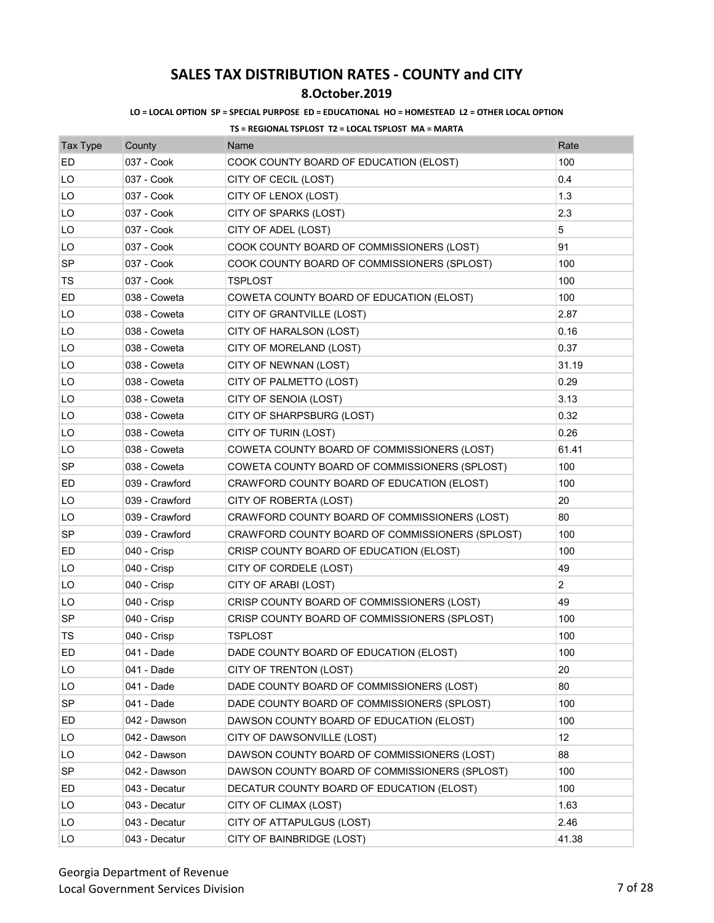## **8.October.2019**

### **LO = LOCAL OPTION SP = SPECIAL PURPOSE ED = EDUCATIONAL HO = HOMESTEAD L2 = OTHER LOCAL OPTION**

| <b>Tax Type</b> | County         | Name                                            | Rate           |
|-----------------|----------------|-------------------------------------------------|----------------|
| ED              | 037 - Cook     | COOK COUNTY BOARD OF EDUCATION (ELOST)          | 100            |
| LO              | 037 - Cook     | CITY OF CECIL (LOST)                            | 0.4            |
| LO              | 037 - Cook     | CITY OF LENOX (LOST)                            | 1.3            |
| LO              | 037 - Cook     | CITY OF SPARKS (LOST)                           | 2.3            |
| LO              | 037 - Cook     | CITY OF ADEL (LOST)                             | 5              |
| LO              | 037 - Cook     | COOK COUNTY BOARD OF COMMISSIONERS (LOST)       | 91             |
| <b>SP</b>       | 037 - Cook     | COOK COUNTY BOARD OF COMMISSIONERS (SPLOST)     | 100            |
| TS              | 037 - Cook     | TSPLOST                                         | 100            |
| ED              | 038 - Coweta   | COWETA COUNTY BOARD OF EDUCATION (ELOST)        | 100            |
| LO              | 038 - Coweta   | CITY OF GRANTVILLE (LOST)                       | 2.87           |
| LO              | 038 - Coweta   | CITY OF HARALSON (LOST)                         | 0.16           |
| LO              | 038 - Coweta   | CITY OF MORELAND (LOST)                         | 0.37           |
| LO              | 038 - Coweta   | CITY OF NEWNAN (LOST)                           | 31.19          |
| LO              | 038 - Coweta   | CITY OF PALMETTO (LOST)                         | 0.29           |
| LO              | 038 - Coweta   | CITY OF SENOIA (LOST)                           | 3.13           |
| LO              | 038 - Coweta   | CITY OF SHARPSBURG (LOST)                       | 0.32           |
| LO              | 038 - Coweta   | CITY OF TURIN (LOST)                            | 0.26           |
| LO              | 038 - Coweta   | COWETA COUNTY BOARD OF COMMISSIONERS (LOST)     | 61.41          |
| <b>SP</b>       | 038 - Coweta   | COWETA COUNTY BOARD OF COMMISSIONERS (SPLOST)   | 100            |
| ED              | 039 - Crawford | CRAWFORD COUNTY BOARD OF EDUCATION (ELOST)      | 100            |
| LO              | 039 - Crawford | CITY OF ROBERTA (LOST)                          | 20             |
| LO              | 039 - Crawford | CRAWFORD COUNTY BOARD OF COMMISSIONERS (LOST)   | 80             |
| <b>SP</b>       | 039 - Crawford | CRAWFORD COUNTY BOARD OF COMMISSIONERS (SPLOST) | 100            |
| ED              | 040 - Crisp    | CRISP COUNTY BOARD OF EDUCATION (ELOST)         | 100            |
| LO              | 040 - Crisp    | CITY OF CORDELE (LOST)                          | 49             |
| LO              | 040 - Crisp    | CITY OF ARABI (LOST)                            | $\overline{2}$ |
| LO              | 040 - Crisp    | CRISP COUNTY BOARD OF COMMISSIONERS (LOST)      | 49             |
| <b>SP</b>       | 040 - Crisp    | CRISP COUNTY BOARD OF COMMISSIONERS (SPLOST)    | 100            |
| TS              | 040 - Crisp    | TSPLOST                                         | 100            |
| ED              | 041 - Dade     | DADE COUNTY BOARD OF EDUCATION (ELOST)          | 100            |
| LO              | 041 - Dade     | CITY OF TRENTON (LOST)                          | 20             |
| LO              | 041 - Dade     | DADE COUNTY BOARD OF COMMISSIONERS (LOST)       | 80             |
| SP              | 041 - Dade     | DADE COUNTY BOARD OF COMMISSIONERS (SPLOST)     | 100            |
| ED              | 042 - Dawson   | DAWSON COUNTY BOARD OF EDUCATION (ELOST)        | 100            |
| LO              | 042 - Dawson   | CITY OF DAWSONVILLE (LOST)                      | 12             |
| LO              | 042 - Dawson   | DAWSON COUNTY BOARD OF COMMISSIONERS (LOST)     | 88             |
| <b>SP</b>       | 042 - Dawson   | DAWSON COUNTY BOARD OF COMMISSIONERS (SPLOST)   | 100            |
| ED              | 043 - Decatur  | DECATUR COUNTY BOARD OF EDUCATION (ELOST)       | 100            |
| LO              | 043 - Decatur  | CITY OF CLIMAX (LOST)                           | 1.63           |
| LO              | 043 - Decatur  | CITY OF ATTAPULGUS (LOST)                       | 2.46           |
| LO              | 043 - Decatur  | CITY OF BAINBRIDGE (LOST)                       | 41.38          |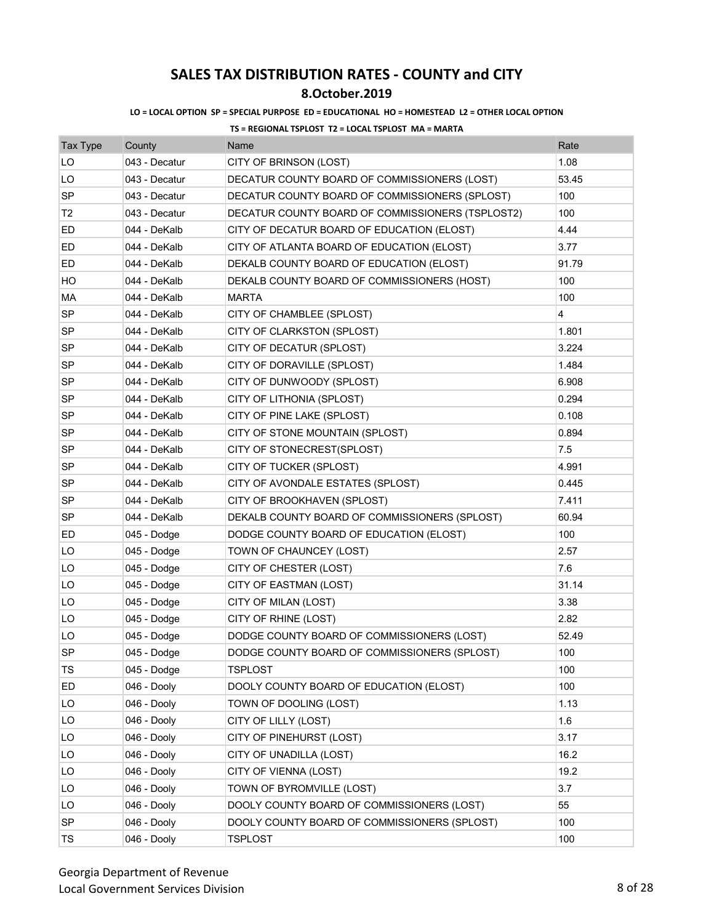## **8.October.2019**

### **LO = LOCAL OPTION SP = SPECIAL PURPOSE ED = EDUCATIONAL HO = HOMESTEAD L2 = OTHER LOCAL OPTION**

| <b>Tax Type</b> | County        | Name                                             | Rate  |
|-----------------|---------------|--------------------------------------------------|-------|
| LO              | 043 - Decatur | CITY OF BRINSON (LOST)                           | 1.08  |
| LO              | 043 - Decatur | DECATUR COUNTY BOARD OF COMMISSIONERS (LOST)     | 53.45 |
| SP              | 043 - Decatur | DECATUR COUNTY BOARD OF COMMISSIONERS (SPLOST)   | 100   |
| T <sub>2</sub>  | 043 - Decatur | DECATUR COUNTY BOARD OF COMMISSIONERS (TSPLOST2) | 100   |
| ED              | 044 - DeKalb  | CITY OF DECATUR BOARD OF EDUCATION (ELOST)       | 4.44  |
| ED              | 044 - DeKalb  | CITY OF ATLANTA BOARD OF EDUCATION (ELOST)       | 3.77  |
| ED              | 044 - DeKalb  | DEKALB COUNTY BOARD OF EDUCATION (ELOST)         | 91.79 |
| HО              | 044 - DeKalb  | DEKALB COUNTY BOARD OF COMMISSIONERS (HOST)      | 100   |
| МA              | 044 - DeKalb  | <b>MARTA</b>                                     | 100   |
| <b>SP</b>       | 044 - DeKalb  | CITY OF CHAMBLEE (SPLOST)                        | 4     |
| SP              | 044 - DeKalb  | CITY OF CLARKSTON (SPLOST)                       | 1.801 |
| <b>SP</b>       | 044 - DeKalb  | CITY OF DECATUR (SPLOST)                         | 3.224 |
| SP              | 044 - DeKalb  | CITY OF DORAVILLE (SPLOST)                       | 1.484 |
| SP              | 044 - DeKalb  | CITY OF DUNWOODY (SPLOST)                        | 6.908 |
| SP              | 044 - DeKalb  | CITY OF LITHONIA (SPLOST)                        | 0.294 |
| SP              | 044 - DeKalb  | CITY OF PINE LAKE (SPLOST)                       | 0.108 |
| <b>SP</b>       | 044 - DeKalb  | CITY OF STONE MOUNTAIN (SPLOST)                  | 0.894 |
| SP              | 044 - DeKalb  | CITY OF STONECREST(SPLOST)                       | 7.5   |
| SP              | 044 - DeKalb  | CITY OF TUCKER (SPLOST)                          | 4.991 |
| SP              | 044 - DeKalb  | CITY OF AVONDALE ESTATES (SPLOST)                | 0.445 |
| <b>SP</b>       | 044 - DeKalb  | CITY OF BROOKHAVEN (SPLOST)                      | 7.411 |
| <b>SP</b>       | 044 - DeKalb  | DEKALB COUNTY BOARD OF COMMISSIONERS (SPLOST)    | 60.94 |
| ED              | 045 - Dodge   | DODGE COUNTY BOARD OF EDUCATION (ELOST)          | 100   |
| LO              | 045 - Dodge   | TOWN OF CHAUNCEY (LOST)                          | 2.57  |
| LO              | 045 - Dodge   | CITY OF CHESTER (LOST)                           | 7.6   |
| LO              | 045 - Dodge   | CITY OF EASTMAN (LOST)                           | 31.14 |
| LO              | 045 - Dodge   | CITY OF MILAN (LOST)                             | 3.38  |
| LO              | 045 - Dodge   | CITY OF RHINE (LOST)                             | 2.82  |
| LO              | 045 - Dodge   | DODGE COUNTY BOARD OF COMMISSIONERS (LOST)       | 52.49 |
| <b>SP</b>       | 045 - Dodge   | DODGE COUNTY BOARD OF COMMISSIONERS (SPLOST)     | 100   |
| TS              | 045 - Dodge   | TSPLOST                                          | 100   |
| ED              | 046 - Dooly   | DOOLY COUNTY BOARD OF EDUCATION (ELOST)          | 100   |
| LO              | 046 - Dooly   | TOWN OF DOOLING (LOST)                           | 1.13  |
| LO              | 046 - Dooly   | CITY OF LILLY (LOST)                             | 1.6   |
| LO              | 046 - Dooly   | CITY OF PINEHURST (LOST)                         | 3.17  |
| LO              | 046 - Dooly   | CITY OF UNADILLA (LOST)                          | 16.2  |
| LO              | 046 - Dooly   | CITY OF VIENNA (LOST)                            | 19.2  |
| LO              | 046 - Dooly   | TOWN OF BYROMVILLE (LOST)                        | 3.7   |
| LO              | 046 - Dooly   | DOOLY COUNTY BOARD OF COMMISSIONERS (LOST)       | 55    |
| <b>SP</b>       | 046 - Dooly   | DOOLY COUNTY BOARD OF COMMISSIONERS (SPLOST)     | 100   |
| TS              | 046 - Dooly   | <b>TSPLOST</b>                                   | 100   |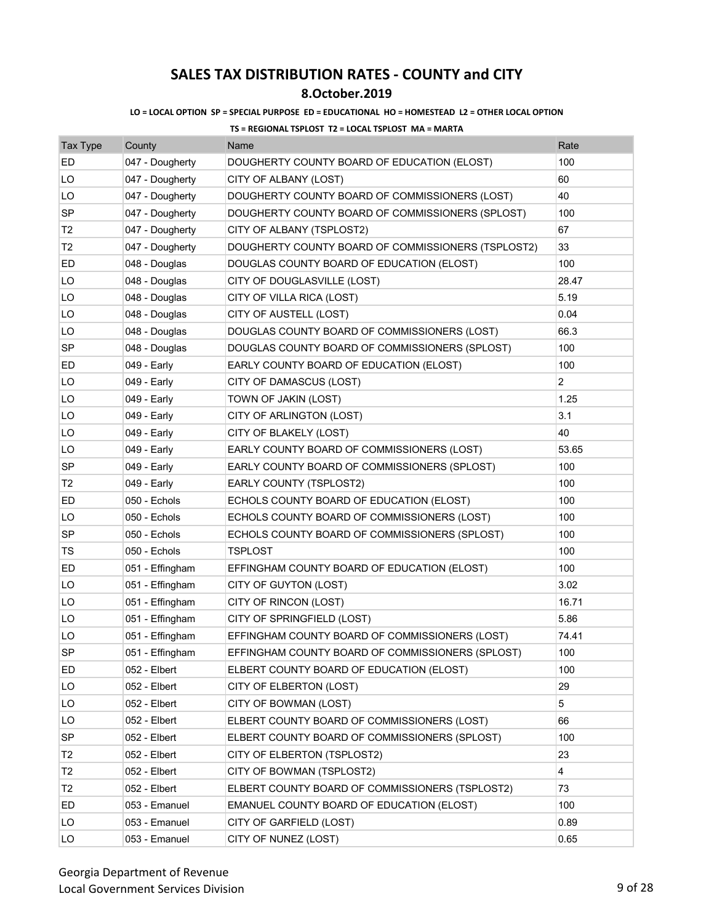## **8.October.2019**

#### **LO = LOCAL OPTION SP = SPECIAL PURPOSE ED = EDUCATIONAL HO = HOMESTEAD L2 = OTHER LOCAL OPTION**

| Tax Type       | County          | Name                                               | Rate           |
|----------------|-----------------|----------------------------------------------------|----------------|
| ED             | 047 - Dougherty | DOUGHERTY COUNTY BOARD OF EDUCATION (ELOST)        | 100            |
| LO             | 047 - Dougherty | CITY OF ALBANY (LOST)                              | 60             |
| LO             | 047 - Dougherty | DOUGHERTY COUNTY BOARD OF COMMISSIONERS (LOST)     | 40             |
| <b>SP</b>      | 047 - Dougherty | DOUGHERTY COUNTY BOARD OF COMMISSIONERS (SPLOST)   | 100            |
| T <sub>2</sub> | 047 - Dougherty | CITY OF ALBANY (TSPLOST2)                          | 67             |
| T <sub>2</sub> | 047 - Dougherty | DOUGHERTY COUNTY BOARD OF COMMISSIONERS (TSPLOST2) | 33             |
| ED             | 048 - Douglas   | DOUGLAS COUNTY BOARD OF EDUCATION (ELOST)          | 100            |
| LO             | 048 - Douglas   | CITY OF DOUGLASVILLE (LOST)                        | 28.47          |
| LO             | 048 - Douglas   | CITY OF VILLA RICA (LOST)                          | 5.19           |
| LO             | 048 - Douglas   | CITY OF AUSTELL (LOST)                             | 0.04           |
| LO             | 048 - Douglas   | DOUGLAS COUNTY BOARD OF COMMISSIONERS (LOST)       | 66.3           |
| <b>SP</b>      | 048 - Douglas   | DOUGLAS COUNTY BOARD OF COMMISSIONERS (SPLOST)     | 100            |
| ED             | 049 - Early     | EARLY COUNTY BOARD OF EDUCATION (ELOST)            | 100            |
| LO             | 049 - Early     | CITY OF DAMASCUS (LOST)                            | 2              |
| LO             | 049 - Early     | TOWN OF JAKIN (LOST)                               | 1.25           |
| LO             | 049 - Early     | CITY OF ARLINGTON (LOST)                           | 3.1            |
| LO             | 049 - Early     | CITY OF BLAKELY (LOST)                             | 40             |
| LO             | 049 - Early     | EARLY COUNTY BOARD OF COMMISSIONERS (LOST)         | 53.65          |
| SP             | 049 - Early     | EARLY COUNTY BOARD OF COMMISSIONERS (SPLOST)       | 100            |
| T2             | 049 - Early     | EARLY COUNTY (TSPLOST2)                            | 100            |
| ED             | 050 - Echols    | ECHOLS COUNTY BOARD OF EDUCATION (ELOST)           | 100            |
| LO             | 050 - Echols    | ECHOLS COUNTY BOARD OF COMMISSIONERS (LOST)        | 100            |
| <b>SP</b>      | 050 - Echols    | ECHOLS COUNTY BOARD OF COMMISSIONERS (SPLOST)      | 100            |
| TS             | 050 - Echols    | <b>TSPLOST</b>                                     | 100            |
| ED             | 051 - Effingham | EFFINGHAM COUNTY BOARD OF EDUCATION (ELOST)        | 100            |
| LO             | 051 - Effingham | CITY OF GUYTON (LOST)                              | 3.02           |
| LO             | 051 - Effingham | CITY OF RINCON (LOST)                              | 16.71          |
| LO             | 051 - Effingham | CITY OF SPRINGFIELD (LOST)                         | 5.86           |
| LO             | 051 - Effingham | EFFINGHAM COUNTY BOARD OF COMMISSIONERS (LOST)     | 74.41          |
| SP             | 051 - Effingham | EFFINGHAM COUNTY BOARD OF COMMISSIONERS (SPLOST)   | 100            |
| ED             | 052 - Elbert    | ELBERT COUNTY BOARD OF EDUCATION (ELOST)           | 100            |
| LO             | 052 - Elbert    | CITY OF ELBERTON (LOST)                            | 29             |
| LO             | 052 - Elbert    | CITY OF BOWMAN (LOST)                              | 5              |
| LO             | 052 - Elbert    | ELBERT COUNTY BOARD OF COMMISSIONERS (LOST)        | 66             |
| SP             | 052 - Elbert    | ELBERT COUNTY BOARD OF COMMISSIONERS (SPLOST)      | 100            |
| T <sub>2</sub> | 052 - Elbert    | CITY OF ELBERTON (TSPLOST2)                        | 23             |
| T <sub>2</sub> | 052 - Elbert    | CITY OF BOWMAN (TSPLOST2)                          | $\overline{4}$ |
| T <sub>2</sub> | 052 - Elbert    | ELBERT COUNTY BOARD OF COMMISSIONERS (TSPLOST2)    | 73             |
| ED             | 053 - Emanuel   | EMANUEL COUNTY BOARD OF EDUCATION (ELOST)          | 100            |
| LO             | 053 - Emanuel   | CITY OF GARFIELD (LOST)                            | 0.89           |
| LO             | 053 - Emanuel   | CITY OF NUNEZ (LOST)                               | 0.65           |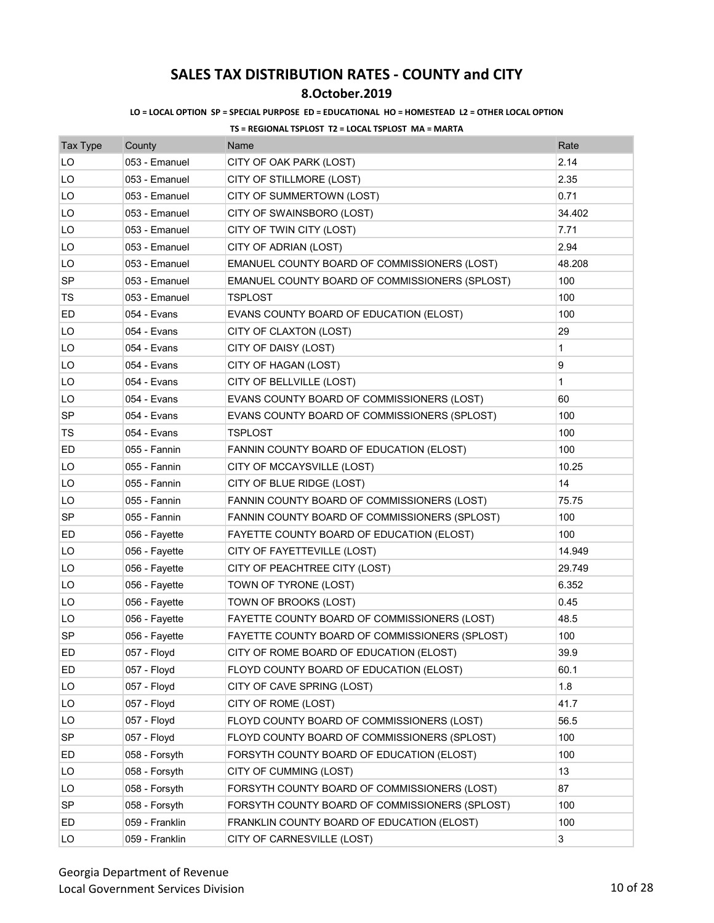## **8.October.2019**

### **LO = LOCAL OPTION SP = SPECIAL PURPOSE ED = EDUCATIONAL HO = HOMESTEAD L2 = OTHER LOCAL OPTION**

| <b>Tax Type</b> | County         | Name                                           | Rate         |
|-----------------|----------------|------------------------------------------------|--------------|
| LO              | 053 - Emanuel  | CITY OF OAK PARK (LOST)                        | 2.14         |
| LO              | 053 - Emanuel  | CITY OF STILLMORE (LOST)                       | 2.35         |
| LO              | 053 - Emanuel  | CITY OF SUMMERTOWN (LOST)                      | 0.71         |
| LO              | 053 - Emanuel  | CITY OF SWAINSBORO (LOST)                      | 34.402       |
| LO              | 053 - Emanuel  | CITY OF TWIN CITY (LOST)                       | 7.71         |
| LO              | 053 - Emanuel  | CITY OF ADRIAN (LOST)                          | 2.94         |
| LO              | 053 - Emanuel  | EMANUEL COUNTY BOARD OF COMMISSIONERS (LOST)   | 48.208       |
| SP              | 053 - Emanuel  | EMANUEL COUNTY BOARD OF COMMISSIONERS (SPLOST) | 100          |
| TS              | 053 - Emanuel  | <b>TSPLOST</b>                                 | 100          |
| ED              | 054 - Evans    | EVANS COUNTY BOARD OF EDUCATION (ELOST)        | 100          |
| LO              | 054 - Evans    | CITY OF CLAXTON (LOST)                         | 29           |
| LO              | 054 - Evans    | CITY OF DAISY (LOST)                           | 1            |
| LO              | 054 - Evans    | CITY OF HAGAN (LOST)                           | 9            |
| LO              | 054 - Evans    | CITY OF BELLVILLE (LOST)                       | $\mathbf{1}$ |
| LO              | 054 - Evans    | EVANS COUNTY BOARD OF COMMISSIONERS (LOST)     | 60           |
| <b>SP</b>       | 054 - Evans    | EVANS COUNTY BOARD OF COMMISSIONERS (SPLOST)   | 100          |
| TS              | 054 - Evans    | <b>TSPLOST</b>                                 | 100          |
| ED              | 055 - Fannin   | FANNIN COUNTY BOARD OF EDUCATION (ELOST)       | 100          |
| LO              | 055 - Fannin   | CITY OF MCCAYSVILLE (LOST)                     | 10.25        |
| LO              | 055 - Fannin   | CITY OF BLUE RIDGE (LOST)                      | 14           |
| LO              | 055 - Fannin   | FANNIN COUNTY BOARD OF COMMISSIONERS (LOST)    | 75.75        |
| SP              | 055 - Fannin   | FANNIN COUNTY BOARD OF COMMISSIONERS (SPLOST)  | 100          |
| ED              | 056 - Fayette  | FAYETTE COUNTY BOARD OF EDUCATION (ELOST)      | 100          |
| LO              | 056 - Fayette  | CITY OF FAYETTEVILLE (LOST)                    | 14.949       |
| LO              | 056 - Fayette  | CITY OF PEACHTREE CITY (LOST)                  | 29.749       |
| LO              | 056 - Fayette  | TOWN OF TYRONE (LOST)                          | 6.352        |
| LO              | 056 - Fayette  | TOWN OF BROOKS (LOST)                          | 0.45         |
| LO              | 056 - Fayette  | FAYETTE COUNTY BOARD OF COMMISSIONERS (LOST)   | 48.5         |
| <b>SP</b>       | 056 - Fayette  | FAYETTE COUNTY BOARD OF COMMISSIONERS (SPLOST) | 100          |
| ED              | 057 - Floyd    | CITY OF ROME BOARD OF EDUCATION (ELOST)        | 39.9         |
| ED              | 057 - Floyd    | FLOYD COUNTY BOARD OF EDUCATION (ELOST)        | 60.1         |
| LO              | 057 - Floyd    | CITY OF CAVE SPRING (LOST)                     | 1.8          |
| LO              | 057 - Floyd    | CITY OF ROME (LOST)                            | 41.7         |
| LO              | 057 - Floyd    | FLOYD COUNTY BOARD OF COMMISSIONERS (LOST)     | 56.5         |
| SP              | 057 - Floyd    | FLOYD COUNTY BOARD OF COMMISSIONERS (SPLOST)   | 100          |
| ED              | 058 - Forsyth  | FORSYTH COUNTY BOARD OF EDUCATION (ELOST)      | 100          |
| LO              | 058 - Forsyth  | CITY OF CUMMING (LOST)                         | 13           |
| LO              | 058 - Forsyth  | FORSYTH COUNTY BOARD OF COMMISSIONERS (LOST)   | 87           |
| SP              | 058 - Forsyth  | FORSYTH COUNTY BOARD OF COMMISSIONERS (SPLOST) | 100          |
| ED              | 059 - Franklin | FRANKLIN COUNTY BOARD OF EDUCATION (ELOST)     | 100          |
| LO              | 059 - Franklin | CITY OF CARNESVILLE (LOST)                     | 3            |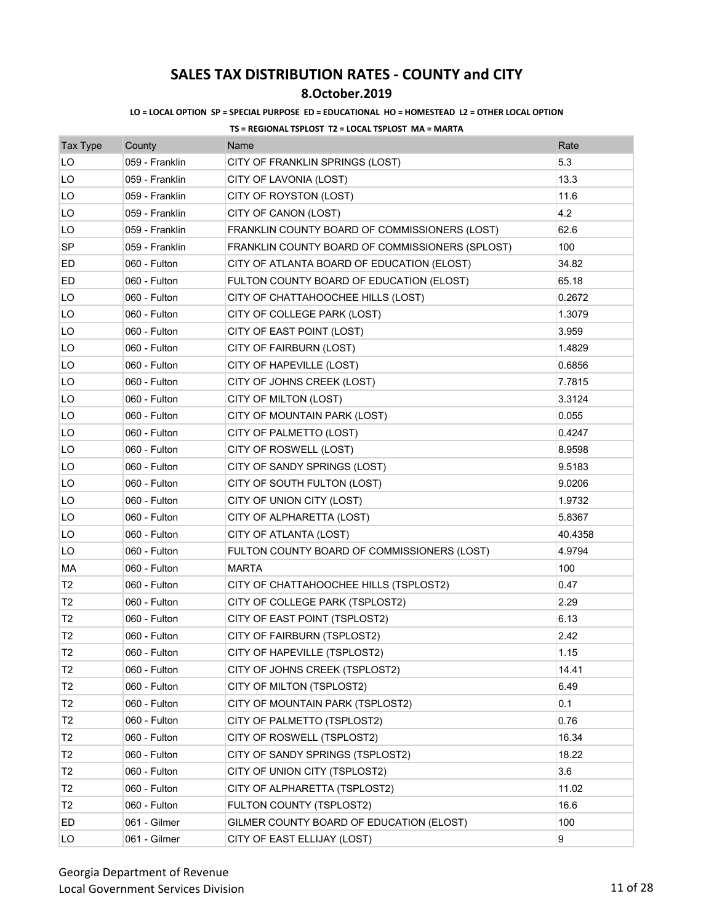## **8.October.2019**

### **LO = LOCAL OPTION SP = SPECIAL PURPOSE ED = EDUCATIONAL HO = HOMESTEAD L2 = OTHER LOCAL OPTION**

| <b>Tax Type</b> | County         | Name                                            | Rate    |
|-----------------|----------------|-------------------------------------------------|---------|
| LO              | 059 - Franklin | CITY OF FRANKLIN SPRINGS (LOST)                 | 5.3     |
| LO              | 059 - Franklin | CITY OF LAVONIA (LOST)                          | 13.3    |
| LO              | 059 - Franklin | CITY OF ROYSTON (LOST)                          | 11.6    |
| LO              | 059 - Franklin | CITY OF CANON (LOST)                            | 4.2     |
| LO              | 059 - Franklin | FRANKLIN COUNTY BOARD OF COMMISSIONERS (LOST)   | 62.6    |
| <b>SP</b>       | 059 - Franklin | FRANKLIN COUNTY BOARD OF COMMISSIONERS (SPLOST) | 100     |
| ED              | 060 - Fulton   | CITY OF ATLANTA BOARD OF EDUCATION (ELOST)      | 34.82   |
| ED.             | 060 - Fulton   | FULTON COUNTY BOARD OF EDUCATION (ELOST)        | 65.18   |
| LO              | 060 - Fulton   | CITY OF CHATTAHOOCHEE HILLS (LOST)              | 0.2672  |
| LO              | 060 - Fulton   | CITY OF COLLEGE PARK (LOST)                     | 1.3079  |
| LO              | 060 - Fulton   | CITY OF EAST POINT (LOST)                       | 3.959   |
| LO              | 060 - Fulton   | CITY OF FAIRBURN (LOST)                         | 1.4829  |
| LO              | 060 - Fulton   | CITY OF HAPEVILLE (LOST)                        | 0.6856  |
| LO              | 060 - Fulton   | CITY OF JOHNS CREEK (LOST)                      | 7.7815  |
| LO              | 060 - Fulton   | CITY OF MILTON (LOST)                           | 3.3124  |
| LO              | 060 - Fulton   | CITY OF MOUNTAIN PARK (LOST)                    | 0.055   |
| LO              | 060 - Fulton   | CITY OF PALMETTO (LOST)                         | 0.4247  |
| LO              | 060 - Fulton   | CITY OF ROSWELL (LOST)                          | 8.9598  |
| LO              | 060 - Fulton   | CITY OF SANDY SPRINGS (LOST)                    | 9.5183  |
| LO              | 060 - Fulton   | CITY OF SOUTH FULTON (LOST)                     | 9.0206  |
| LO              | 060 - Fulton   | CITY OF UNION CITY (LOST)                       | 1.9732  |
| LO              | 060 - Fulton   | CITY OF ALPHARETTA (LOST)                       | 5.8367  |
| LO              | 060 - Fulton   | CITY OF ATLANTA (LOST)                          | 40.4358 |
| LO              | 060 - Fulton   | FULTON COUNTY BOARD OF COMMISSIONERS (LOST)     | 4.9794  |
| МA              | 060 - Fulton   | <b>MARTA</b>                                    | 100     |
| T <sub>2</sub>  | 060 - Fulton   | CITY OF CHATTAHOOCHEE HILLS (TSPLOST2)          | 0.47    |
| T2              | 060 - Fulton   | CITY OF COLLEGE PARK (TSPLOST2)                 | 2.29    |
| T <sub>2</sub>  | 060 - Fulton   | CITY OF EAST POINT (TSPLOST2)                   | 6.13    |
| T <sub>2</sub>  | 060 - Fulton   | CITY OF FAIRBURN (TSPLOST2)                     | 2.42    |
| T <sub>2</sub>  | 060 - Fulton   | CITY OF HAPEVILLE (TSPLOST2)                    | 1.15    |
| T <sub>2</sub>  | 060 - Fulton   | CITY OF JOHNS CREEK (TSPLOST2)                  | 14.41   |
| T <sub>2</sub>  | 060 - Fulton   | CITY OF MILTON (TSPLOST2)                       | 6.49    |
| T <sub>2</sub>  | 060 - Fulton   | CITY OF MOUNTAIN PARK (TSPLOST2)                | 0.1     |
| T <sub>2</sub>  | 060 - Fulton   | CITY OF PALMETTO (TSPLOST2)                     | 0.76    |
| T <sub>2</sub>  | 060 - Fulton   | CITY OF ROSWELL (TSPLOST2)                      | 16.34   |
| T2              | 060 - Fulton   | CITY OF SANDY SPRINGS (TSPLOST2)                | 18.22   |
| T <sub>2</sub>  | 060 - Fulton   | CITY OF UNION CITY (TSPLOST2)                   | 3.6     |
| T2              | 060 - Fulton   | CITY OF ALPHARETTA (TSPLOST2)                   | 11.02   |
| T <sub>2</sub>  | 060 - Fulton   | FULTON COUNTY (TSPLOST2)                        | 16.6    |
| ED              | 061 - Gilmer   | GILMER COUNTY BOARD OF EDUCATION (ELOST)        | 100     |
| LO              | 061 - Gilmer   | CITY OF EAST ELLIJAY (LOST)                     | 9       |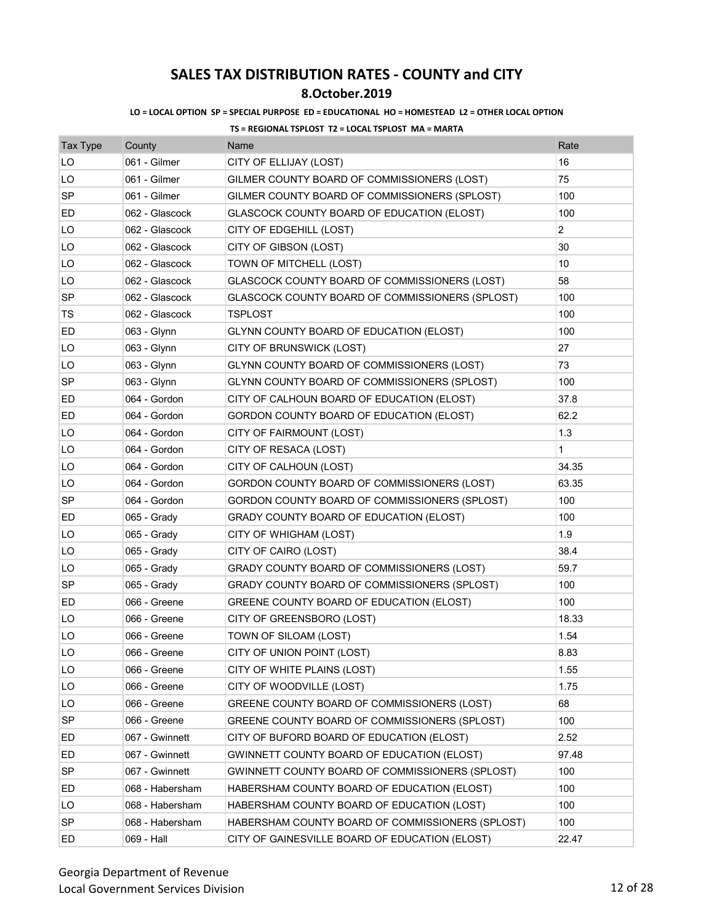## **8.October.2019**

### **LO = LOCAL OPTION SP = SPECIAL PURPOSE ED = EDUCATIONAL HO = HOMESTEAD L2 = OTHER LOCAL OPTION**

| <b>Tax Type</b> | County          | Name                                             | Rate           |
|-----------------|-----------------|--------------------------------------------------|----------------|
| LO              | 061 - Gilmer    | CITY OF ELLIJAY (LOST)                           | 16             |
| LO              | 061 - Gilmer    | GILMER COUNTY BOARD OF COMMISSIONERS (LOST)      | 75             |
| <b>SP</b>       | 061 - Gilmer    | GILMER COUNTY BOARD OF COMMISSIONERS (SPLOST)    | 100            |
| ED              | 062 - Glascock  | GLASCOCK COUNTY BOARD OF EDUCATION (ELOST)       | 100            |
| LO              | 062 - Glascock  | CITY OF EDGEHILL (LOST)                          | $\overline{2}$ |
| LO              | 062 - Glascock  | CITY OF GIBSON (LOST)                            | 30             |
| LO              | 062 - Glascock  | TOWN OF MITCHELL (LOST)                          | 10             |
| LO              | 062 - Glascock  | GLASCOCK COUNTY BOARD OF COMMISSIONERS (LOST)    | 58             |
| <b>SP</b>       | 062 - Glascock  | GLASCOCK COUNTY BOARD OF COMMISSIONERS (SPLOST)  | 100            |
| TS              | 062 - Glascock  | <b>TSPLOST</b>                                   | 100            |
| ED              | 063 - Glynn     | GLYNN COUNTY BOARD OF EDUCATION (ELOST)          | 100            |
| LO              | 063 - Glynn     | CITY OF BRUNSWICK (LOST)                         | 27             |
| LO              | 063 - Glynn     | GLYNN COUNTY BOARD OF COMMISSIONERS (LOST)       | 73             |
| SP              | 063 - Glynn     | GLYNN COUNTY BOARD OF COMMISSIONERS (SPLOST)     | 100            |
| ED              | 064 - Gordon    | CITY OF CALHOUN BOARD OF EDUCATION (ELOST)       | 37.8           |
| ED              | 064 - Gordon    | GORDON COUNTY BOARD OF EDUCATION (ELOST)         | 62.2           |
| LO              | 064 - Gordon    | CITY OF FAIRMOUNT (LOST)                         | 1.3            |
| LO              | 064 - Gordon    | CITY OF RESACA (LOST)                            | $\mathbf{1}$   |
| LO              | 064 - Gordon    | CITY OF CALHOUN (LOST)                           | 34.35          |
| LO              | 064 - Gordon    | GORDON COUNTY BOARD OF COMMISSIONERS (LOST)      | 63.35          |
| SP              | 064 - Gordon    | GORDON COUNTY BOARD OF COMMISSIONERS (SPLOST)    | 100            |
| ED              | 065 - Grady     | GRADY COUNTY BOARD OF EDUCATION (ELOST)          | 100            |
| LO              | 065 - Grady     | CITY OF WHIGHAM (LOST)                           | 1.9            |
| LO              | 065 - Grady     | CITY OF CAIRO (LOST)                             | 38.4           |
| LO              | 065 - Grady     | GRADY COUNTY BOARD OF COMMISSIONERS (LOST)       | 59.7           |
| <b>SP</b>       | 065 - Grady     | GRADY COUNTY BOARD OF COMMISSIONERS (SPLOST)     | 100            |
| ED              | 066 - Greene    | GREENE COUNTY BOARD OF EDUCATION (ELOST)         | 100            |
| LO              | 066 - Greene    | CITY OF GREENSBORO (LOST)                        | 18.33          |
| LO              | 066 - Greene    | TOWN OF SILOAM (LOST)                            | 1.54           |
| LO              | 066 - Greene    | CITY OF UNION POINT (LOST)                       | 8.83           |
| LO              | 066 - Greene    | CITY OF WHITE PLAINS (LOST)                      | 1.55           |
| LO              | 066 - Greene    | CITY OF WOODVILLE (LOST)                         | 1.75           |
| LO              | 066 - Greene    | GREENE COUNTY BOARD OF COMMISSIONERS (LOST)      | 68             |
| <b>SP</b>       | 066 - Greene    | GREENE COUNTY BOARD OF COMMISSIONERS (SPLOST)    | 100            |
| ED              | 067 - Gwinnett  | CITY OF BUFORD BOARD OF EDUCATION (ELOST)        | 2.52           |
| ED              | 067 - Gwinnett  | GWINNETT COUNTY BOARD OF EDUCATION (ELOST)       | 97.48          |
| <b>SP</b>       | 067 - Gwinnett  | GWINNETT COUNTY BOARD OF COMMISSIONERS (SPLOST)  | 100            |
| ED              | 068 - Habersham | HABERSHAM COUNTY BOARD OF EDUCATION (ELOST)      | 100            |
| LO              | 068 - Habersham | HABERSHAM COUNTY BOARD OF EDUCATION (LOST)       | 100            |
| <b>SP</b>       | 068 - Habersham | HABERSHAM COUNTY BOARD OF COMMISSIONERS (SPLOST) | 100            |
| ED              | 069 - Hall      | CITY OF GAINESVILLE BOARD OF EDUCATION (ELOST)   | 22.47          |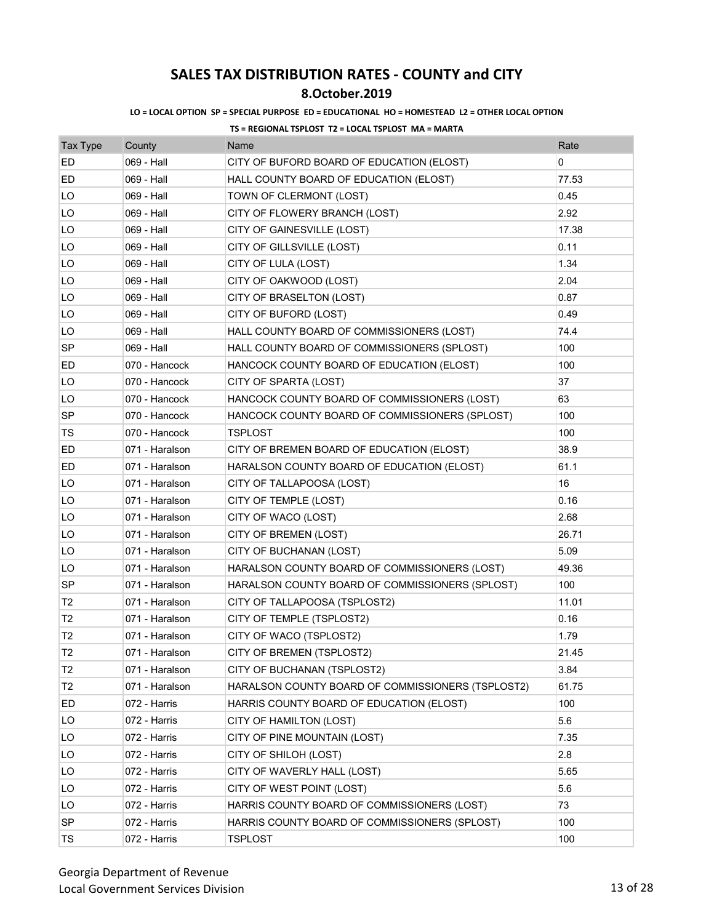## **8.October.2019**

#### **LO = LOCAL OPTION SP = SPECIAL PURPOSE ED = EDUCATIONAL HO = HOMESTEAD L2 = OTHER LOCAL OPTION**

| <b>Tax Type</b> | County         | Name                                              | Rate  |
|-----------------|----------------|---------------------------------------------------|-------|
| <b>ED</b>       | 069 - Hall     | CITY OF BUFORD BOARD OF EDUCATION (ELOST)         | 0     |
| ED              | 069 - Hall     | HALL COUNTY BOARD OF EDUCATION (ELOST)            | 77.53 |
| LO              | 069 - Hall     | TOWN OF CLERMONT (LOST)                           | 0.45  |
| LO              | 069 - Hall     | CITY OF FLOWERY BRANCH (LOST)                     | 2.92  |
| LO              | 069 - Hall     | CITY OF GAINESVILLE (LOST)                        | 17.38 |
| LO              | 069 - Hall     | CITY OF GILLSVILLE (LOST)                         | 0.11  |
| LO              | 069 - Hall     | CITY OF LULA (LOST)                               | 1.34  |
| LO              | 069 - Hall     | CITY OF OAKWOOD (LOST)                            | 2.04  |
| LO              | 069 - Hall     | CITY OF BRASELTON (LOST)                          | 0.87  |
| LO              | 069 - Hall     | CITY OF BUFORD (LOST)                             | 0.49  |
| LO              | 069 - Hall     | HALL COUNTY BOARD OF COMMISSIONERS (LOST)         | 74.4  |
| SP              | 069 - Hall     | HALL COUNTY BOARD OF COMMISSIONERS (SPLOST)       | 100   |
| ED              | 070 - Hancock  | HANCOCK COUNTY BOARD OF EDUCATION (ELOST)         | 100   |
| LO              | 070 - Hancock  | CITY OF SPARTA (LOST)                             | 37    |
| LO              | 070 - Hancock  | HANCOCK COUNTY BOARD OF COMMISSIONERS (LOST)      | 63    |
| <b>SP</b>       | 070 - Hancock  | HANCOCK COUNTY BOARD OF COMMISSIONERS (SPLOST)    | 100   |
| TS              | 070 - Hancock  | TSPLOST                                           | 100   |
| ED              | 071 - Haralson | CITY OF BREMEN BOARD OF EDUCATION (ELOST)         | 38.9  |
| ED              | 071 - Haralson | HARALSON COUNTY BOARD OF EDUCATION (ELOST)        | 61.1  |
| LO              | 071 - Haralson | CITY OF TALLAPOOSA (LOST)                         | 16    |
| LO              | 071 - Haralson | CITY OF TEMPLE (LOST)                             | 0.16  |
| LO              | 071 - Haralson | CITY OF WACO (LOST)                               | 2.68  |
| LO              | 071 - Haralson | CITY OF BREMEN (LOST)                             | 26.71 |
| LO              | 071 - Haralson | CITY OF BUCHANAN (LOST)                           | 5.09  |
| LO              | 071 - Haralson | HARALSON COUNTY BOARD OF COMMISSIONERS (LOST)     | 49.36 |
| <b>SP</b>       | 071 - Haralson | HARALSON COUNTY BOARD OF COMMISSIONERS (SPLOST)   | 100   |
| T <sub>2</sub>  | 071 - Haralson | CITY OF TALLAPOOSA (TSPLOST2)                     | 11.01 |
| T2              | 071 - Haralson | CITY OF TEMPLE (TSPLOST2)                         | 0.16  |
| T <sub>2</sub>  | 071 - Haralson | CITY OF WACO (TSPLOST2)                           | 1.79  |
| T <sub>2</sub>  | 071 - Haralson | CITY OF BREMEN (TSPLOST2)                         | 21.45 |
| T <sub>2</sub>  | 071 - Haralson | CITY OF BUCHANAN (TSPLOST2)                       | 3.84  |
| T <sub>2</sub>  | 071 - Haralson | HARALSON COUNTY BOARD OF COMMISSIONERS (TSPLOST2) | 61.75 |
| ED              | 072 - Harris   | HARRIS COUNTY BOARD OF EDUCATION (ELOST)          | 100   |
| LO              | 072 - Harris   | CITY OF HAMILTON (LOST)                           | 5.6   |
| LO              | 072 - Harris   | CITY OF PINE MOUNTAIN (LOST)                      | 7.35  |
| LO              | 072 - Harris   | CITY OF SHILOH (LOST)                             | 2.8   |
| LO              | 072 - Harris   | CITY OF WAVERLY HALL (LOST)                       | 5.65  |
| LO              | 072 - Harris   | CITY OF WEST POINT (LOST)                         | 5.6   |
| LO              | 072 - Harris   | HARRIS COUNTY BOARD OF COMMISSIONERS (LOST)       | 73    |
| SP              | 072 - Harris   | HARRIS COUNTY BOARD OF COMMISSIONERS (SPLOST)     | 100   |
| TS              | 072 - Harris   | <b>TSPLOST</b>                                    | 100   |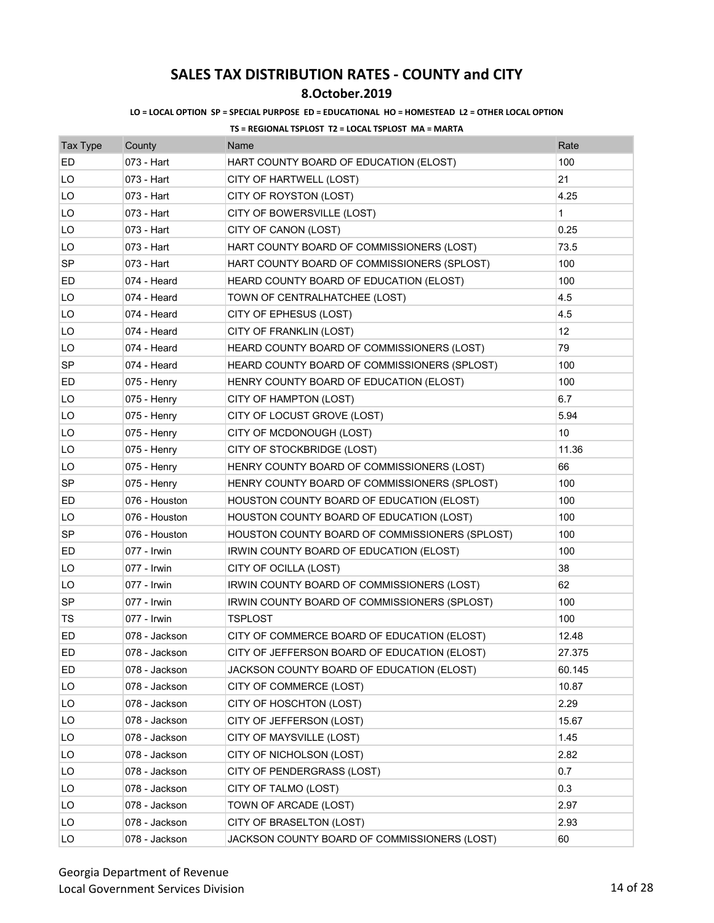## **8.October.2019**

#### **LO = LOCAL OPTION SP = SPECIAL PURPOSE ED = EDUCATIONAL HO = HOMESTEAD L2 = OTHER LOCAL OPTION**

| <b>Tax Type</b> | County        | Name                                           | Rate         |
|-----------------|---------------|------------------------------------------------|--------------|
| ED              | 073 - Hart    | HART COUNTY BOARD OF EDUCATION (ELOST)         | 100          |
| LO              | 073 - Hart    | CITY OF HARTWELL (LOST)                        | 21           |
| LO              | 073 - Hart    | CITY OF ROYSTON (LOST)                         | 4.25         |
| LO              | 073 - Hart    | CITY OF BOWERSVILLE (LOST)                     | $\mathbf{1}$ |
| LO              | 073 - Hart    | CITY OF CANON (LOST)                           | 0.25         |
| LO              | 073 - Hart    | HART COUNTY BOARD OF COMMISSIONERS (LOST)      | 73.5         |
| SP              | 073 - Hart    | HART COUNTY BOARD OF COMMISSIONERS (SPLOST)    | 100          |
| ED              | 074 - Heard   | HEARD COUNTY BOARD OF EDUCATION (ELOST)        | 100          |
| LO              | 074 - Heard   | TOWN OF CENTRALHATCHEE (LOST)                  | 4.5          |
| LO              | 074 - Heard   | CITY OF EPHESUS (LOST)                         | 4.5          |
| LO              | 074 - Heard   | CITY OF FRANKLIN (LOST)                        | 12           |
| LO              | 074 - Heard   | HEARD COUNTY BOARD OF COMMISSIONERS (LOST)     | 79           |
| SP              | 074 - Heard   | HEARD COUNTY BOARD OF COMMISSIONERS (SPLOST)   | 100          |
| ED              | 075 - Henry   | HENRY COUNTY BOARD OF EDUCATION (ELOST)        | 100          |
| LO              | 075 - Henry   | CITY OF HAMPTON (LOST)                         | 6.7          |
| LO              | $075 -$ Henry | CITY OF LOCUST GROVE (LOST)                    | 5.94         |
| LO              | 075 - Henry   | CITY OF MCDONOUGH (LOST)                       | 10           |
| LO              | 075 - Henry   | CITY OF STOCKBRIDGE (LOST)                     | 11.36        |
| LO              | 075 - Henry   | HENRY COUNTY BOARD OF COMMISSIONERS (LOST)     | 66           |
| <b>SP</b>       | 075 - Henry   | HENRY COUNTY BOARD OF COMMISSIONERS (SPLOST)   | 100          |
| ED              | 076 - Houston | HOUSTON COUNTY BOARD OF EDUCATION (ELOST)      | 100          |
| LO              | 076 - Houston | HOUSTON COUNTY BOARD OF EDUCATION (LOST)       | 100          |
| <b>SP</b>       | 076 - Houston | HOUSTON COUNTY BOARD OF COMMISSIONERS (SPLOST) | 100          |
| ED              | 077 - Irwin   | IRWIN COUNTY BOARD OF EDUCATION (ELOST)        | 100          |
| LO              | 077 - Irwin   | CITY OF OCILLA (LOST)                          | 38           |
| LO              | 077 - Irwin   | IRWIN COUNTY BOARD OF COMMISSIONERS (LOST)     | 62           |
| <b>SP</b>       | 077 - Irwin   | IRWIN COUNTY BOARD OF COMMISSIONERS (SPLOST)   | 100          |
| TS              | 077 - Irwin   | TSPLOST                                        | 100          |
| ED              | 078 - Jackson | CITY OF COMMERCE BOARD OF EDUCATION (ELOST)    | 12.48        |
| ED              | 078 - Jackson | CITY OF JEFFERSON BOARD OF EDUCATION (ELOST)   | 27.375       |
| ED              | 078 - Jackson | JACKSON COUNTY BOARD OF EDUCATION (ELOST)      | 60.145       |
| LO              | 078 - Jackson | CITY OF COMMERCE (LOST)                        | 10.87        |
| LO              | 078 - Jackson | CITY OF HOSCHTON (LOST)                        | 2.29         |
| LO              | 078 - Jackson | CITY OF JEFFERSON (LOST)                       | 15.67        |
| LO              | 078 - Jackson | CITY OF MAYSVILLE (LOST)                       | 1.45         |
| LO              | 078 - Jackson | CITY OF NICHOLSON (LOST)                       | 2.82         |
| LO              | 078 - Jackson | CITY OF PENDERGRASS (LOST)                     | 0.7          |
| LO              | 078 - Jackson | CITY OF TALMO (LOST)                           | 0.3          |
| LO              | 078 - Jackson | TOWN OF ARCADE (LOST)                          | 2.97         |
| LO              | 078 - Jackson | CITY OF BRASELTON (LOST)                       | 2.93         |
| LO              | 078 - Jackson | JACKSON COUNTY BOARD OF COMMISSIONERS (LOST)   | 60           |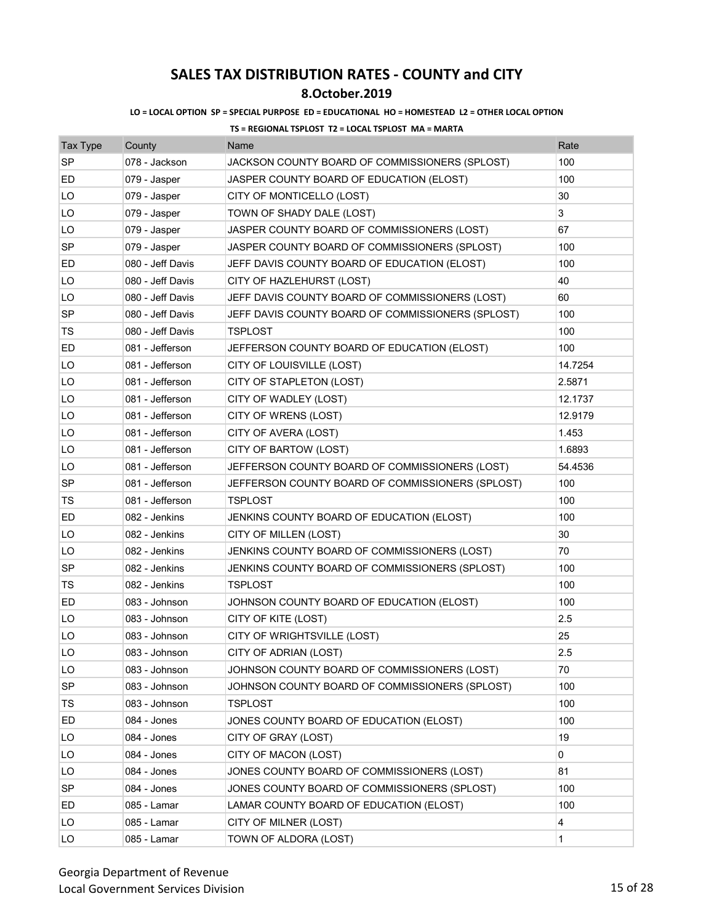## **8.October.2019**

### **LO = LOCAL OPTION SP = SPECIAL PURPOSE ED = EDUCATIONAL HO = HOMESTEAD L2 = OTHER LOCAL OPTION**

| <b>Tax Type</b> | County           | Name                                              | Rate    |
|-----------------|------------------|---------------------------------------------------|---------|
| <b>SP</b>       | 078 - Jackson    | JACKSON COUNTY BOARD OF COMMISSIONERS (SPLOST)    | 100     |
| ED              | 079 - Jasper     | JASPER COUNTY BOARD OF EDUCATION (ELOST)          | 100     |
| LO              | 079 - Jasper     | CITY OF MONTICELLO (LOST)                         | 30      |
| LO              | 079 - Jasper     | TOWN OF SHADY DALE (LOST)                         | 3       |
| LO              | 079 - Jasper     | JASPER COUNTY BOARD OF COMMISSIONERS (LOST)       | 67      |
| <b>SP</b>       | 079 - Jasper     | JASPER COUNTY BOARD OF COMMISSIONERS (SPLOST)     | 100     |
| ED              | 080 - Jeff Davis | JEFF DAVIS COUNTY BOARD OF EDUCATION (ELOST)      | 100     |
| LO              | 080 - Jeff Davis | CITY OF HAZLEHURST (LOST)                         | 40      |
| LO              | 080 - Jeff Davis | JEFF DAVIS COUNTY BOARD OF COMMISSIONERS (LOST)   | 60      |
| SP              | 080 - Jeff Davis | JEFF DAVIS COUNTY BOARD OF COMMISSIONERS (SPLOST) | 100     |
| TS              | 080 - Jeff Davis | TSPLOST                                           | 100     |
| ED              | 081 - Jefferson  | JEFFERSON COUNTY BOARD OF EDUCATION (ELOST)       | 100     |
| LO              | 081 - Jefferson  | CITY OF LOUISVILLE (LOST)                         | 14.7254 |
| LO              | 081 - Jefferson  | CITY OF STAPLETON (LOST)                          | 2.5871  |
| LO              | 081 - Jefferson  | CITY OF WADLEY (LOST)                             | 12.1737 |
| LO              | 081 - Jefferson  | CITY OF WRENS (LOST)                              | 12.9179 |
| LO              | 081 - Jefferson  | CITY OF AVERA (LOST)                              | 1.453   |
| LO              | 081 - Jefferson  | CITY OF BARTOW (LOST)                             | 1.6893  |
| LO              | 081 - Jefferson  | JEFFERSON COUNTY BOARD OF COMMISSIONERS (LOST)    | 54.4536 |
| <b>SP</b>       | 081 - Jefferson  | JEFFERSON COUNTY BOARD OF COMMISSIONERS (SPLOST)  | 100     |
| TS              | 081 - Jefferson  | <b>TSPLOST</b>                                    | 100     |
| ED              | 082 - Jenkins    | JENKINS COUNTY BOARD OF EDUCATION (ELOST)         | 100     |
| LO              | 082 - Jenkins    | CITY OF MILLEN (LOST)                             | 30      |
| LO              | 082 - Jenkins    | JENKINS COUNTY BOARD OF COMMISSIONERS (LOST)      | 70      |
| <b>SP</b>       | 082 - Jenkins    | JENKINS COUNTY BOARD OF COMMISSIONERS (SPLOST)    | 100     |
| TS              | 082 - Jenkins    | <b>TSPLOST</b>                                    | 100     |
| ED              | 083 - Johnson    | JOHNSON COUNTY BOARD OF EDUCATION (ELOST)         | 100     |
| LO              | 083 - Johnson    | CITY OF KITE (LOST)                               | 2.5     |
| LO              | 083 - Johnson    | CITY OF WRIGHTSVILLE (LOST)                       | 25      |
| LO              | 083 - Johnson    | CITY OF ADRIAN (LOST)                             | 2.5     |
| LO              | 083 - Johnson    | JOHNSON COUNTY BOARD OF COMMISSIONERS (LOST)      | 70      |
| SP              | 083 - Johnson    | JOHNSON COUNTY BOARD OF COMMISSIONERS (SPLOST)    | 100     |
| TS              | 083 - Johnson    | <b>TSPLOST</b>                                    | 100     |
| ED              | 084 - Jones      | JONES COUNTY BOARD OF EDUCATION (ELOST)           | 100     |
| LO              | 084 - Jones      | CITY OF GRAY (LOST)                               | 19      |
| LO              | 084 - Jones      | CITY OF MACON (LOST)                              | 0       |
| LO              | 084 - Jones      | JONES COUNTY BOARD OF COMMISSIONERS (LOST)        | 81      |
| SP              | 084 - Jones      | JONES COUNTY BOARD OF COMMISSIONERS (SPLOST)      | 100     |
| ED              | 085 - Lamar      | LAMAR COUNTY BOARD OF EDUCATION (ELOST)           | 100     |
| LO              | 085 - Lamar      | CITY OF MILNER (LOST)                             | 4       |
| LO              | 085 - Lamar      | TOWN OF ALDORA (LOST)                             | 1       |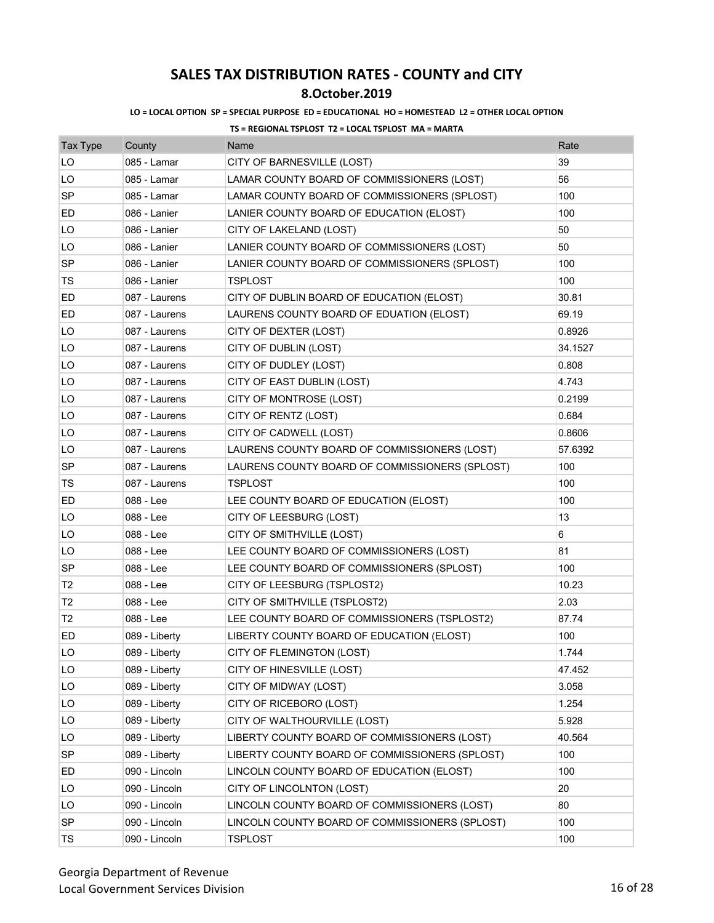## **8.October.2019**

### **LO = LOCAL OPTION SP = SPECIAL PURPOSE ED = EDUCATIONAL HO = HOMESTEAD L2 = OTHER LOCAL OPTION**

| <b>Tax Type</b> | County        | Name                                           | Rate    |
|-----------------|---------------|------------------------------------------------|---------|
| LO              | 085 - Lamar   | CITY OF BARNESVILLE (LOST)                     | 39      |
| LO              | 085 - Lamar   | LAMAR COUNTY BOARD OF COMMISSIONERS (LOST)     | 56      |
| SP              | 085 - Lamar   | LAMAR COUNTY BOARD OF COMMISSIONERS (SPLOST)   | 100     |
| ED              | 086 - Lanier  | LANIER COUNTY BOARD OF EDUCATION (ELOST)       | 100     |
| LO              | 086 - Lanier  | CITY OF LAKELAND (LOST)                        | 50      |
| LO              | 086 - Lanier  | LANIER COUNTY BOARD OF COMMISSIONERS (LOST)    | 50      |
| <b>SP</b>       | 086 - Lanier  | LANIER COUNTY BOARD OF COMMISSIONERS (SPLOST)  | 100     |
| TS              | 086 - Lanier  | <b>TSPLOST</b>                                 | 100     |
| ED              | 087 - Laurens | CITY OF DUBLIN BOARD OF EDUCATION (ELOST)      | 30.81   |
| ED              | 087 - Laurens | LAURENS COUNTY BOARD OF EDUATION (ELOST)       | 69.19   |
| LO              | 087 - Laurens | CITY OF DEXTER (LOST)                          | 0.8926  |
| LO              | 087 - Laurens | CITY OF DUBLIN (LOST)                          | 34.1527 |
| LO              | 087 - Laurens | CITY OF DUDLEY (LOST)                          | 0.808   |
| LO              | 087 - Laurens | CITY OF EAST DUBLIN (LOST)                     | 4.743   |
| LO              | 087 - Laurens | CITY OF MONTROSE (LOST)                        | 0.2199  |
| LO              | 087 - Laurens | CITY OF RENTZ (LOST)                           | 0.684   |
| LO              | 087 - Laurens | CITY OF CADWELL (LOST)                         | 0.8606  |
| LO              | 087 - Laurens | LAURENS COUNTY BOARD OF COMMISSIONERS (LOST)   | 57.6392 |
| SP              | 087 - Laurens | LAURENS COUNTY BOARD OF COMMISSIONERS (SPLOST) | 100     |
| TS              | 087 - Laurens | TSPLOST                                        | 100     |
| ED              | 088 - Lee     | LEE COUNTY BOARD OF EDUCATION (ELOST)          | 100     |
| LO              | 088 - Lee     | CITY OF LEESBURG (LOST)                        | 13      |
| LO              | 088 - Lee     | CITY OF SMITHVILLE (LOST)                      | 6       |
| LO              | 088 - Lee     | LEE COUNTY BOARD OF COMMISSIONERS (LOST)       | 81      |
| <b>SP</b>       | 088 - Lee     | LEE COUNTY BOARD OF COMMISSIONERS (SPLOST)     | 100     |
| T <sub>2</sub>  | 088 - Lee     | CITY OF LEESBURG (TSPLOST2)                    | 10.23   |
| T2              | 088 - Lee     | CITY OF SMITHVILLE (TSPLOST2)                  | 2.03    |
| T <sub>2</sub>  | 088 - Lee     | LEE COUNTY BOARD OF COMMISSIONERS (TSPLOST2)   | 87.74   |
| ED              | 089 - Liberty | LIBERTY COUNTY BOARD OF EDUCATION (ELOST)      | 100     |
| LO              | 089 - Liberty | CITY OF FLEMINGTON (LOST)                      | 1.744   |
| LO              | 089 - Liberty | CITY OF HINESVILLE (LOST)                      | 47.452  |
| LO              | 089 - Liberty | CITY OF MIDWAY (LOST)                          | 3.058   |
| LO              | 089 - Liberty | CITY OF RICEBORO (LOST)                        | 1.254   |
| LO              | 089 - Liberty | CITY OF WALTHOURVILLE (LOST)                   | 5.928   |
| LO              | 089 - Liberty | LIBERTY COUNTY BOARD OF COMMISSIONERS (LOST)   | 40.564  |
| SP              | 089 - Liberty | LIBERTY COUNTY BOARD OF COMMISSIONERS (SPLOST) | 100     |
| ED              | 090 - Lincoln | LINCOLN COUNTY BOARD OF EDUCATION (ELOST)      | 100     |
| LO              | 090 - Lincoln | CITY OF LINCOLNTON (LOST)                      | 20      |
| LO              | 090 - Lincoln | LINCOLN COUNTY BOARD OF COMMISSIONERS (LOST)   | 80      |
| SP              | 090 - Lincoln | LINCOLN COUNTY BOARD OF COMMISSIONERS (SPLOST) | 100     |
| TS              | 090 - Lincoln | <b>TSPLOST</b>                                 | 100     |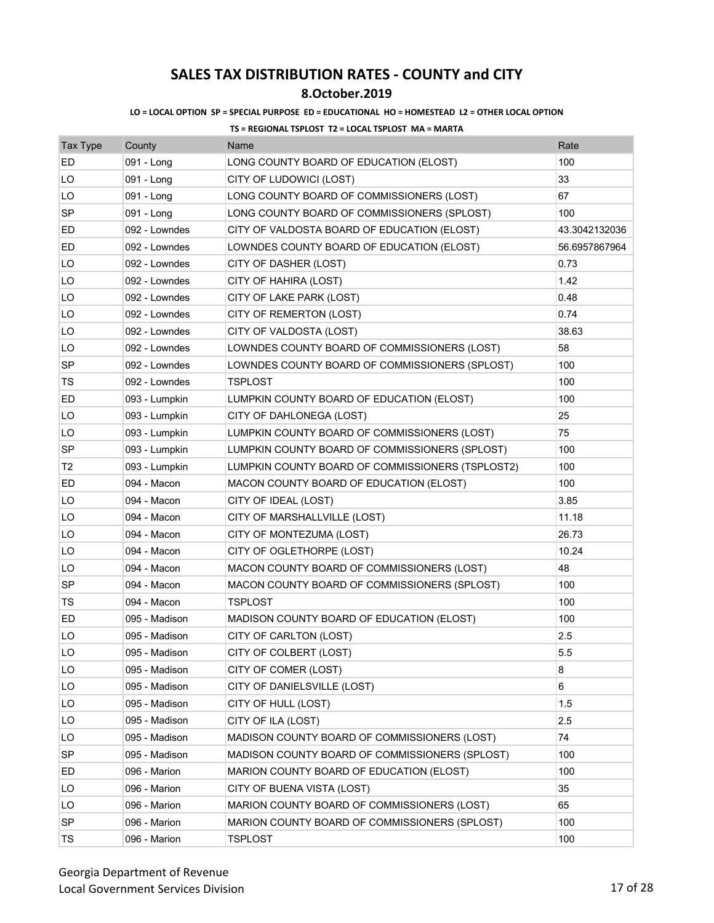## **8.October.2019**

### **LO = LOCAL OPTION SP = SPECIAL PURPOSE ED = EDUCATIONAL HO = HOMESTEAD L2 = OTHER LOCAL OPTION**

| <b>Tax Type</b> | County        | Name                                             | Rate          |
|-----------------|---------------|--------------------------------------------------|---------------|
| ED              | 091 - Long    | LONG COUNTY BOARD OF EDUCATION (ELOST)           | 100           |
| LO              | 091 - Long    | CITY OF LUDOWICI (LOST)                          | 33            |
| LO              | 091 - Long    | LONG COUNTY BOARD OF COMMISSIONERS (LOST)        | 67            |
| SP              | 091 - Long    | LONG COUNTY BOARD OF COMMISSIONERS (SPLOST)      | 100           |
| ED              | 092 - Lowndes | CITY OF VALDOSTA BOARD OF EDUCATION (ELOST)      | 43.3042132036 |
| ED              | 092 - Lowndes | LOWNDES COUNTY BOARD OF EDUCATION (ELOST)        | 56.6957867964 |
| LO              | 092 - Lowndes | CITY OF DASHER (LOST)                            | 0.73          |
| LO              | 092 - Lowndes | CITY OF HAHIRA (LOST)                            | 1.42          |
| LO              | 092 - Lowndes | CITY OF LAKE PARK (LOST)                         | 0.48          |
| LO              | 092 - Lowndes | CITY OF REMERTON (LOST)                          | 0.74          |
| LO              | 092 - Lowndes | CITY OF VALDOSTA (LOST)                          | 38.63         |
| LO              | 092 - Lowndes | LOWNDES COUNTY BOARD OF COMMISSIONERS (LOST)     | 58            |
| SP              | 092 - Lowndes | LOWNDES COUNTY BOARD OF COMMISSIONERS (SPLOST)   | 100           |
| TS              | 092 - Lowndes | <b>TSPLOST</b>                                   | 100           |
| ED              | 093 - Lumpkin | LUMPKIN COUNTY BOARD OF EDUCATION (ELOST)        | 100           |
| LO              | 093 - Lumpkin | CITY OF DAHLONEGA (LOST)                         | 25            |
| LO              | 093 - Lumpkin | LUMPKIN COUNTY BOARD OF COMMISSIONERS (LOST)     | 75            |
| <b>SP</b>       | 093 - Lumpkin | LUMPKIN COUNTY BOARD OF COMMISSIONERS (SPLOST)   | 100           |
| T2              | 093 - Lumpkin | LUMPKIN COUNTY BOARD OF COMMISSIONERS (TSPLOST2) | 100           |
| ED              | 094 - Macon   | MACON COUNTY BOARD OF EDUCATION (ELOST)          | 100           |
| LO              | 094 - Macon   | CITY OF IDEAL (LOST)                             | 3.85          |
| LO              | 094 - Macon   | CITY OF MARSHALLVILLE (LOST)                     | 11.18         |
| LO              | 094 - Macon   | CITY OF MONTEZUMA (LOST)                         | 26.73         |
| LO              | 094 - Macon   | CITY OF OGLETHORPE (LOST)                        | 10.24         |
| LO              | 094 - Macon   | MACON COUNTY BOARD OF COMMISSIONERS (LOST)       | 48            |
| SP              | 094 - Macon   | MACON COUNTY BOARD OF COMMISSIONERS (SPLOST)     | 100           |
| <b>TS</b>       | 094 - Macon   | <b>TSPLOST</b>                                   | 100           |
| ED              | 095 - Madison | MADISON COUNTY BOARD OF EDUCATION (ELOST)        | 100           |
| LO              | 095 - Madison | CITY OF CARLTON (LOST)                           | 2.5           |
| LO              | 095 - Madison | CITY OF COLBERT (LOST)                           | 5.5           |
| LO              | 095 - Madison | CITY OF COMER (LOST)                             | 8             |
| LO              | 095 - Madison | CITY OF DANIELSVILLE (LOST)                      | 6             |
| LO              | 095 - Madison | CITY OF HULL (LOST)                              | 1.5           |
| LO              | 095 - Madison | CITY OF ILA (LOST)                               | 2.5           |
| LO              | 095 - Madison | MADISON COUNTY BOARD OF COMMISSIONERS (LOST)     | 74            |
| <b>SP</b>       | 095 - Madison | MADISON COUNTY BOARD OF COMMISSIONERS (SPLOST)   | 100           |
| ED              | 096 - Marion  | MARION COUNTY BOARD OF EDUCATION (ELOST)         | 100           |
| LO              | 096 - Marion  | CITY OF BUENA VISTA (LOST)                       | 35            |
| LO              | 096 - Marion  | MARION COUNTY BOARD OF COMMISSIONERS (LOST)      | 65            |
| <b>SP</b>       | 096 - Marion  | MARION COUNTY BOARD OF COMMISSIONERS (SPLOST)    | 100           |
| TS              | 096 - Marion  | <b>TSPLOST</b>                                   | 100           |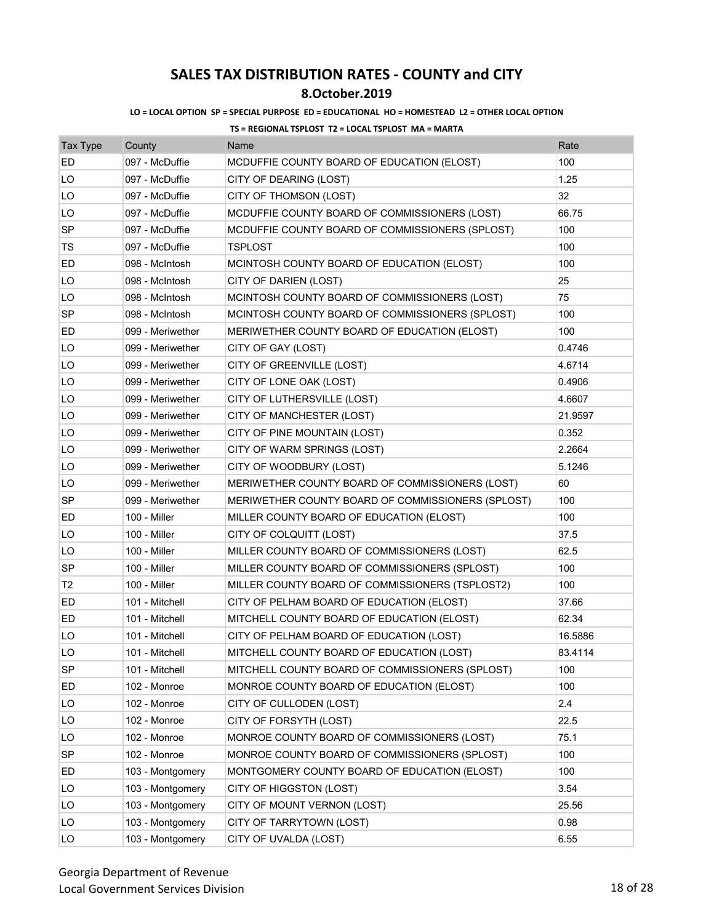## **8.October.2019**

### **LO = LOCAL OPTION SP = SPECIAL PURPOSE ED = EDUCATIONAL HO = HOMESTEAD L2 = OTHER LOCAL OPTION**

| <b>Tax Type</b> | County           | Name                                              | Rate    |
|-----------------|------------------|---------------------------------------------------|---------|
| <b>ED</b>       | 097 - McDuffie   | MCDUFFIE COUNTY BOARD OF EDUCATION (ELOST)        | 100     |
| LO              | 097 - McDuffie   | CITY OF DEARING (LOST)                            | 1.25    |
| LO              | 097 - McDuffie   | CITY OF THOMSON (LOST)                            | 32      |
| LO              | 097 - McDuffie   | MCDUFFIE COUNTY BOARD OF COMMISSIONERS (LOST)     | 66.75   |
| <b>SP</b>       | 097 - McDuffie   | MCDUFFIE COUNTY BOARD OF COMMISSIONERS (SPLOST)   | 100     |
| TS              | 097 - McDuffie   | TSPLOST                                           | 100     |
| ED              | 098 - McIntosh   | MCINTOSH COUNTY BOARD OF EDUCATION (ELOST)        | 100     |
| LO              | 098 - McIntosh   | CITY OF DARIEN (LOST)                             | 25      |
| LO              | 098 - McIntosh   | MCINTOSH COUNTY BOARD OF COMMISSIONERS (LOST)     | 75      |
| SP              | 098 - McIntosh   | MCINTOSH COUNTY BOARD OF COMMISSIONERS (SPLOST)   | 100     |
| ED              | 099 - Meriwether | MERIWETHER COUNTY BOARD OF EDUCATION (ELOST)      | 100     |
| LO              | 099 - Meriwether | CITY OF GAY (LOST)                                | 0.4746  |
| LO              | 099 - Meriwether | CITY OF GREENVILLE (LOST)                         | 4.6714  |
| LO              | 099 - Meriwether | CITY OF LONE OAK (LOST)                           | 0.4906  |
| LO              | 099 - Meriwether | CITY OF LUTHERSVILLE (LOST)                       | 4.6607  |
| LO              | 099 - Meriwether | CITY OF MANCHESTER (LOST)                         | 21.9597 |
| LO              | 099 - Meriwether | CITY OF PINE MOUNTAIN (LOST)                      | 0.352   |
| LO              | 099 - Meriwether | CITY OF WARM SPRINGS (LOST)                       | 2.2664  |
| LO              | 099 - Meriwether | CITY OF WOODBURY (LOST)                           | 5.1246  |
| LO              | 099 - Meriwether | MERIWETHER COUNTY BOARD OF COMMISSIONERS (LOST)   | 60      |
| SP              | 099 - Meriwether | MERIWETHER COUNTY BOARD OF COMMISSIONERS (SPLOST) | 100     |
| ED              | 100 - Miller     | MILLER COUNTY BOARD OF EDUCATION (ELOST)          | 100     |
| LO              | 100 - Miller     | CITY OF COLQUITT (LOST)                           | 37.5    |
| LO              | 100 - Miller     | MILLER COUNTY BOARD OF COMMISSIONERS (LOST)       | 62.5    |
| <b>SP</b>       | 100 - Miller     | MILLER COUNTY BOARD OF COMMISSIONERS (SPLOST)     | 100     |
| T <sub>2</sub>  | 100 - Miller     | MILLER COUNTY BOARD OF COMMISSIONERS (TSPLOST2)   | 100     |
| ED              | 101 - Mitchell   | CITY OF PELHAM BOARD OF EDUCATION (ELOST)         | 37.66   |
| ED              | 101 - Mitchell   | MITCHELL COUNTY BOARD OF EDUCATION (ELOST)        | 62.34   |
| LO              | 101 - Mitchell   | CITY OF PELHAM BOARD OF EDUCATION (LOST)          | 16.5886 |
| LO              | 101 - Mitchell   | MITCHELL COUNTY BOARD OF EDUCATION (LOST)         | 83.4114 |
| <b>SP</b>       | 101 - Mitchell   | MITCHELL COUNTY BOARD OF COMMISSIONERS (SPLOST)   | 100     |
| ED              | 102 - Monroe     | MONROE COUNTY BOARD OF EDUCATION (ELOST)          | 100     |
| LO              | 102 - Monroe     | CITY OF CULLODEN (LOST)                           | 2.4     |
| LO              | 102 - Monroe     | CITY OF FORSYTH (LOST)                            | 22.5    |
| LO              | 102 - Monroe     | MONROE COUNTY BOARD OF COMMISSIONERS (LOST)       | 75.1    |
| SP              | 102 - Monroe     | MONROE COUNTY BOARD OF COMMISSIONERS (SPLOST)     | 100     |
| ED              | 103 - Montgomery | MONTGOMERY COUNTY BOARD OF EDUCATION (ELOST)      | 100     |
| LO              | 103 - Montgomery | CITY OF HIGGSTON (LOST)                           | 3.54    |
| LO              | 103 - Montgomery | CITY OF MOUNT VERNON (LOST)                       | 25.56   |
| LO              | 103 - Montgomery | CITY OF TARRYTOWN (LOST)                          | 0.98    |
| LO              | 103 - Montgomery | CITY OF UVALDA (LOST)                             | 6.55    |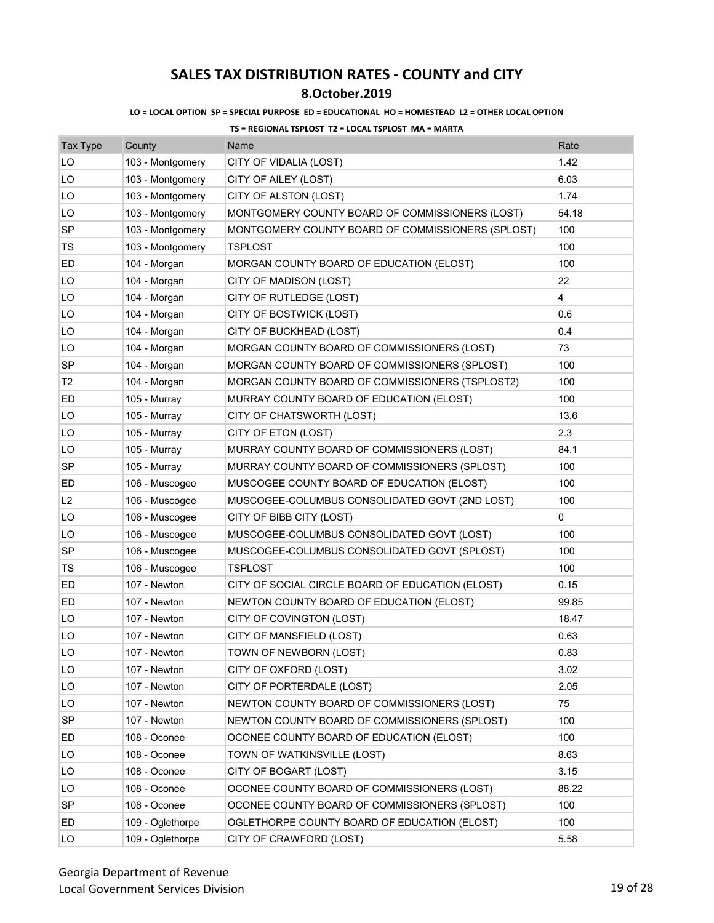## **8.October.2019**

### **LO = LOCAL OPTION SP = SPECIAL PURPOSE ED = EDUCATIONAL HO = HOMESTEAD L2 = OTHER LOCAL OPTION**

| <b>Tax Type</b> | County           | Name                                              | Rate           |
|-----------------|------------------|---------------------------------------------------|----------------|
| LO              | 103 - Montgomery | CITY OF VIDALIA (LOST)                            | 1.42           |
| LO              | 103 - Montgomery | CITY OF AILEY (LOST)                              | 6.03           |
| LO              | 103 - Montgomery | CITY OF ALSTON (LOST)                             | 1.74           |
| LO              | 103 - Montgomery | MONTGOMERY COUNTY BOARD OF COMMISSIONERS (LOST)   | 54.18          |
| SP              | 103 - Montgomery | MONTGOMERY COUNTY BOARD OF COMMISSIONERS (SPLOST) | 100            |
| TS              | 103 - Montgomery | <b>TSPLOST</b>                                    | 100            |
| ED              | 104 - Morgan     | MORGAN COUNTY BOARD OF EDUCATION (ELOST)          | 100            |
| LO              | 104 - Morgan     | CITY OF MADISON (LOST)                            | 22             |
| LO              | 104 - Morgan     | CITY OF RUTLEDGE (LOST)                           | $\overline{4}$ |
| LO              | 104 - Morgan     | CITY OF BOSTWICK (LOST)                           | 0.6            |
| LO              | 104 - Morgan     | CITY OF BUCKHEAD (LOST)                           | 0.4            |
| LO              | 104 - Morgan     | MORGAN COUNTY BOARD OF COMMISSIONERS (LOST)       | 73             |
| SP              | 104 - Morgan     | MORGAN COUNTY BOARD OF COMMISSIONERS (SPLOST)     | 100            |
| T2              | 104 - Morgan     | MORGAN COUNTY BOARD OF COMMISSIONERS (TSPLOST2)   | 100            |
| ED              | 105 - Murray     | MURRAY COUNTY BOARD OF EDUCATION (ELOST)          | 100            |
| LO              | 105 - Murray     | CITY OF CHATSWORTH (LOST)                         | 13.6           |
| LO              | 105 - Murray     | CITY OF ETON (LOST)                               | 2.3            |
| LO              | 105 - Murray     | MURRAY COUNTY BOARD OF COMMISSIONERS (LOST)       | 84.1           |
| SP              | 105 - Murray     | MURRAY COUNTY BOARD OF COMMISSIONERS (SPLOST)     | 100            |
| ED              | 106 - Muscogee   | MUSCOGEE COUNTY BOARD OF EDUCATION (ELOST)        | 100            |
| L <sub>2</sub>  | 106 - Muscogee   | MUSCOGEE-COLUMBUS CONSOLIDATED GOVT (2ND LOST)    | 100            |
| LO              | 106 - Muscogee   | CITY OF BIBB CITY (LOST)                          | 0              |
| LO              | 106 - Muscogee   | MUSCOGEE-COLUMBUS CONSOLIDATED GOVT (LOST)        | 100            |
| SP              | 106 - Muscogee   | MUSCOGEE-COLUMBUS CONSOLIDATED GOVT (SPLOST)      | 100            |
| TS              | 106 - Muscogee   | <b>TSPLOST</b>                                    | 100            |
| ED              | 107 - Newton     | CITY OF SOCIAL CIRCLE BOARD OF EDUCATION (ELOST)  | 0.15           |
| ED              | 107 - Newton     | NEWTON COUNTY BOARD OF EDUCATION (ELOST)          | 99.85          |
| LO              | 107 - Newton     | CITY OF COVINGTON (LOST)                          | 18.47          |
| LO              | 107 - Newton     | CITY OF MANSFIELD (LOST)                          | 0.63           |
| LO              | 107 - Newton     | TOWN OF NEWBORN (LOST)                            | 0.83           |
| LO              | 107 - Newton     | CITY OF OXFORD (LOST)                             | 3.02           |
| LO              | 107 - Newton     | CITY OF PORTERDALE (LOST)                         | 2.05           |
| LO              | 107 - Newton     | NEWTON COUNTY BOARD OF COMMISSIONERS (LOST)       | 75             |
| <b>SP</b>       | 107 - Newton     | NEWTON COUNTY BOARD OF COMMISSIONERS (SPLOST)     | 100            |
| ED              | 108 - Oconee     | OCONEE COUNTY BOARD OF EDUCATION (ELOST)          | 100            |
| LO              | 108 - Oconee     | TOWN OF WATKINSVILLE (LOST)                       | 8.63           |
| LO              | 108 - Oconee     | CITY OF BOGART (LOST)                             | 3.15           |
| LO              | 108 - Oconee     | OCONEE COUNTY BOARD OF COMMISSIONERS (LOST)       | 88.22          |
| SP              | 108 - Oconee     | OCONEE COUNTY BOARD OF COMMISSIONERS (SPLOST)     | 100            |
| ED              | 109 - Oglethorpe | OGLETHORPE COUNTY BOARD OF EDUCATION (ELOST)      | 100            |
| LO              | 109 - Oglethorpe | CITY OF CRAWFORD (LOST)                           | 5.58           |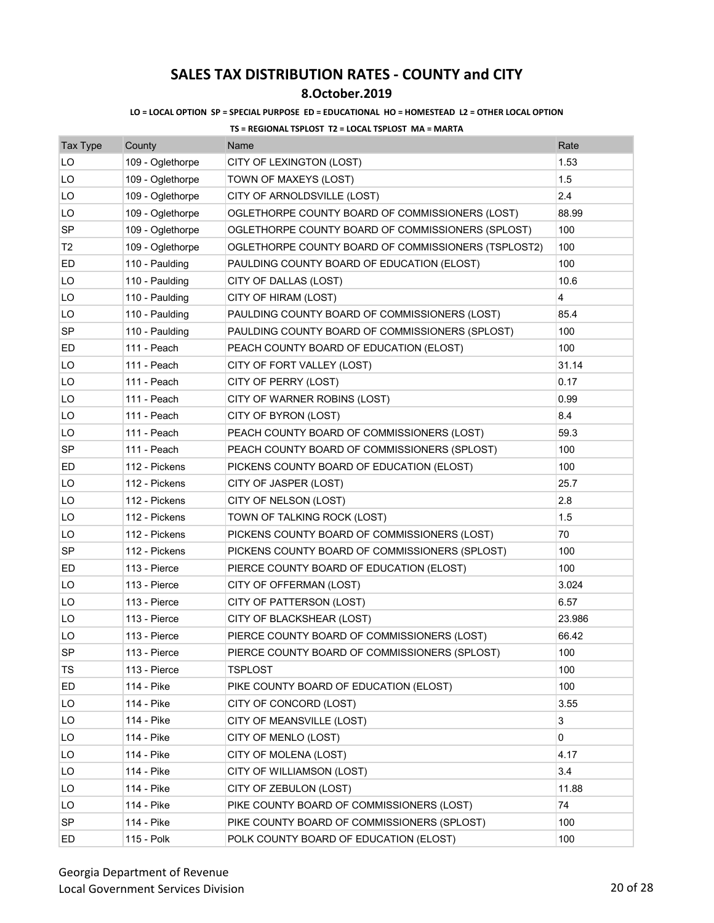### **8.October.2019**

### **LO = LOCAL OPTION SP = SPECIAL PURPOSE ED = EDUCATIONAL HO = HOMESTEAD L2 = OTHER LOCAL OPTION**

| <b>Tax Type</b> | County           | Name                                                | Rate   |
|-----------------|------------------|-----------------------------------------------------|--------|
| LO              | 109 - Oglethorpe | CITY OF LEXINGTON (LOST)                            | 1.53   |
| LO              | 109 - Oglethorpe | TOWN OF MAXEYS (LOST)                               | 1.5    |
| LO              | 109 - Oglethorpe | CITY OF ARNOLDSVILLE (LOST)                         | 2.4    |
| LO              | 109 - Oglethorpe | OGLETHORPE COUNTY BOARD OF COMMISSIONERS (LOST)     | 88.99  |
| SP              | 109 - Oglethorpe | OGLETHORPE COUNTY BOARD OF COMMISSIONERS (SPLOST)   | 100    |
| Т2              | 109 - Oglethorpe | OGLETHORPE COUNTY BOARD OF COMMISSIONERS (TSPLOST2) | 100    |
| ED              | 110 - Paulding   | PAULDING COUNTY BOARD OF EDUCATION (ELOST)          | 100    |
| LO              | 110 - Paulding   | CITY OF DALLAS (LOST)                               | 10.6   |
| LO              | 110 - Paulding   | CITY OF HIRAM (LOST)                                | 4      |
| LO              | 110 - Paulding   | PAULDING COUNTY BOARD OF COMMISSIONERS (LOST)       | 85.4   |
| SP              | 110 - Paulding   | PAULDING COUNTY BOARD OF COMMISSIONERS (SPLOST)     | 100    |
| ED              | 111 - Peach      | PEACH COUNTY BOARD OF EDUCATION (ELOST)             | 100    |
| LO              | 111 - Peach      | CITY OF FORT VALLEY (LOST)                          | 31.14  |
| LO              | 111 - Peach      | CITY OF PERRY (LOST)                                | 0.17   |
| LO              | 111 - Peach      | CITY OF WARNER ROBINS (LOST)                        | 0.99   |
| LO              | 111 - Peach      | CITY OF BYRON (LOST)                                | 8.4    |
| LO              | 111 - Peach      | PEACH COUNTY BOARD OF COMMISSIONERS (LOST)          | 59.3   |
| SP              | 111 - Peach      | PEACH COUNTY BOARD OF COMMISSIONERS (SPLOST)        | 100    |
| ED              | 112 - Pickens    | PICKENS COUNTY BOARD OF EDUCATION (ELOST)           | 100    |
| LO              | 112 - Pickens    | CITY OF JASPER (LOST)                               | 25.7   |
| LO              | 112 - Pickens    | CITY OF NELSON (LOST)                               | 2.8    |
| LO              | 112 - Pickens    | TOWN OF TALKING ROCK (LOST)                         | 1.5    |
| LO              | 112 - Pickens    | PICKENS COUNTY BOARD OF COMMISSIONERS (LOST)        | 70     |
| <b>SP</b>       | 112 - Pickens    | PICKENS COUNTY BOARD OF COMMISSIONERS (SPLOST)      | 100    |
| ED              | 113 - Pierce     | PIERCE COUNTY BOARD OF EDUCATION (ELOST)            | 100    |
| LO              | 113 - Pierce     | CITY OF OFFERMAN (LOST)                             | 3.024  |
| LO              | 113 - Pierce     | CITY OF PATTERSON (LOST)                            | 6.57   |
| LO              | 113 - Pierce     | CITY OF BLACKSHEAR (LOST)                           | 23.986 |
| LO              | 113 - Pierce     | PIERCE COUNTY BOARD OF COMMISSIONERS (LOST)         | 66.42  |
| <b>SP</b>       | 113 - Pierce     | PIERCE COUNTY BOARD OF COMMISSIONERS (SPLOST)       | 100    |
| TS              | 113 - Pierce     | TSPLOST                                             | 100    |
| ED              | 114 - Pike       | PIKE COUNTY BOARD OF EDUCATION (ELOST)              | 100    |
| LO              | 114 - Pike       | CITY OF CONCORD (LOST)                              | 3.55   |
| LO              | 114 - Pike       | CITY OF MEANSVILLE (LOST)                           | 3      |
| LO              | 114 - Pike       | CITY OF MENLO (LOST)                                | 0      |
| LO              | 114 - Pike       | CITY OF MOLENA (LOST)                               | 4.17   |
| LO              | 114 - Pike       | CITY OF WILLIAMSON (LOST)                           | 3.4    |
| LO              | 114 - Pike       | CITY OF ZEBULON (LOST)                              | 11.88  |
| LO.             | 114 - Pike       | PIKE COUNTY BOARD OF COMMISSIONERS (LOST)           | 74     |
| SP              | 114 - Pike       | PIKE COUNTY BOARD OF COMMISSIONERS (SPLOST)         | 100    |
| ED              | 115 - Polk       | POLK COUNTY BOARD OF EDUCATION (ELOST)              | 100    |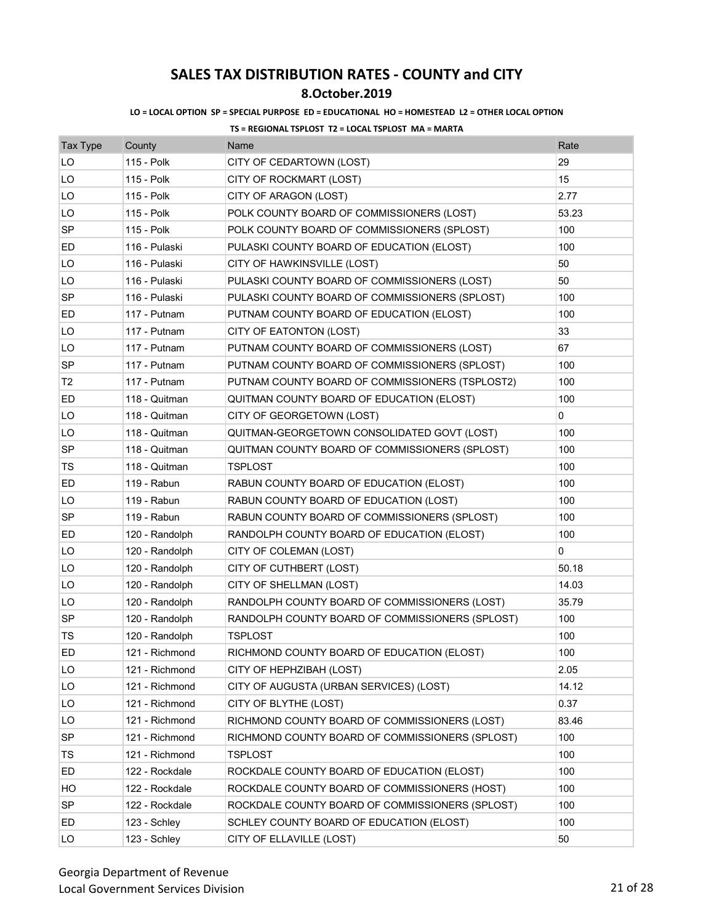## **8.October.2019**

### **LO = LOCAL OPTION SP = SPECIAL PURPOSE ED = EDUCATIONAL HO = HOMESTEAD L2 = OTHER LOCAL OPTION**

| <b>Tax Type</b> | County         | Name                                            | Rate  |
|-----------------|----------------|-------------------------------------------------|-------|
| LO              | 115 - Polk     | CITY OF CEDARTOWN (LOST)                        | 29    |
| LO              | 115 - Polk     | CITY OF ROCKMART (LOST)                         | 15    |
| LO              | 115 - Polk     | CITY OF ARAGON (LOST)                           | 2.77  |
| LO              | 115 - Polk     | POLK COUNTY BOARD OF COMMISSIONERS (LOST)       | 53.23 |
| <b>SP</b>       | 115 - Polk     | POLK COUNTY BOARD OF COMMISSIONERS (SPLOST)     | 100   |
| ED              | 116 - Pulaski  | PULASKI COUNTY BOARD OF EDUCATION (ELOST)       | 100   |
| LO              | 116 - Pulaski  | CITY OF HAWKINSVILLE (LOST)                     | 50    |
| LO              | 116 - Pulaski  | PULASKI COUNTY BOARD OF COMMISSIONERS (LOST)    | 50    |
| <b>SP</b>       | 116 - Pulaski  | PULASKI COUNTY BOARD OF COMMISSIONERS (SPLOST)  | 100   |
| ED              | 117 - Putnam   | PUTNAM COUNTY BOARD OF EDUCATION (ELOST)        | 100   |
| LO              | 117 - Putnam   | CITY OF EATONTON (LOST)                         | 33    |
| LO              | 117 - Putnam   | PUTNAM COUNTY BOARD OF COMMISSIONERS (LOST)     | 67    |
| SP              | 117 - Putnam   | PUTNAM COUNTY BOARD OF COMMISSIONERS (SPLOST)   | 100   |
| T <sub>2</sub>  | 117 - Putnam   | PUTNAM COUNTY BOARD OF COMMISSIONERS (TSPLOST2) | 100   |
| ED              | 118 - Quitman  | QUITMAN COUNTY BOARD OF EDUCATION (ELOST)       | 100   |
| LO              | 118 - Quitman  | CITY OF GEORGETOWN (LOST)                       | 0     |
| LO              | 118 - Quitman  | QUITMAN-GEORGETOWN CONSOLIDATED GOVT (LOST)     | 100   |
| <b>SP</b>       | 118 - Quitman  | QUITMAN COUNTY BOARD OF COMMISSIONERS (SPLOST)  | 100   |
| TS              | 118 - Quitman  | TSPLOST                                         | 100   |
| ED              | 119 - Rabun    | RABUN COUNTY BOARD OF EDUCATION (ELOST)         | 100   |
| LO              | 119 - Rabun    | RABUN COUNTY BOARD OF EDUCATION (LOST)          | 100   |
| <b>SP</b>       | 119 - Rabun    | RABUN COUNTY BOARD OF COMMISSIONERS (SPLOST)    | 100   |
| ED              | 120 - Randolph | RANDOLPH COUNTY BOARD OF EDUCATION (ELOST)      | 100   |
| LO              | 120 - Randolph | CITY OF COLEMAN (LOST)                          | 0     |
| LO              | 120 - Randolph | CITY OF CUTHBERT (LOST)                         | 50.18 |
| LO              | 120 - Randolph | CITY OF SHELLMAN (LOST)                         | 14.03 |
| LO              | 120 - Randolph | RANDOLPH COUNTY BOARD OF COMMISSIONERS (LOST)   | 35.79 |
| <b>SP</b>       | 120 - Randolph | RANDOLPH COUNTY BOARD OF COMMISSIONERS (SPLOST) | 100   |
| TS              | 120 - Randolph | <b>TSPLOST</b>                                  | 100   |
| <b>ED</b>       | 121 - Richmond | RICHMOND COUNTY BOARD OF EDUCATION (ELOST)      | 100   |
| LO              | 121 - Richmond | CITY OF HEPHZIBAH (LOST)                        | 2.05  |
| LO              | 121 - Richmond | CITY OF AUGUSTA (URBAN SERVICES) (LOST)         | 14.12 |
| LO              | 121 - Richmond | CITY OF BLYTHE (LOST)                           | 0.37  |
| LO              | 121 - Richmond | RICHMOND COUNTY BOARD OF COMMISSIONERS (LOST)   | 83.46 |
| <b>SP</b>       | 121 - Richmond | RICHMOND COUNTY BOARD OF COMMISSIONERS (SPLOST) | 100   |
| TS              | 121 - Richmond | TSPLOST                                         | 100   |
| ED              | 122 - Rockdale | ROCKDALE COUNTY BOARD OF EDUCATION (ELOST)      | 100   |
| HO              | 122 - Rockdale | ROCKDALE COUNTY BOARD OF COMMISSIONERS (HOST)   | 100   |
| <b>SP</b>       | 122 - Rockdale | ROCKDALE COUNTY BOARD OF COMMISSIONERS (SPLOST) | 100   |
| ED              | 123 - Schley   | SCHLEY COUNTY BOARD OF EDUCATION (ELOST)        | 100   |
| LO              | 123 - Schley   | CITY OF ELLAVILLE (LOST)                        | 50    |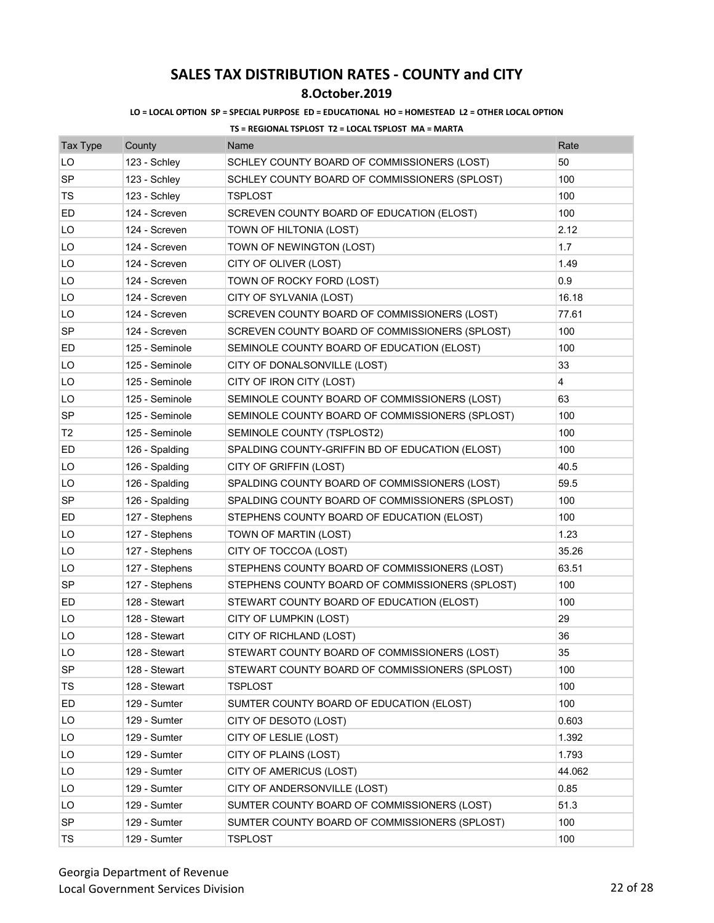## **8.October.2019**

### **LO = LOCAL OPTION SP = SPECIAL PURPOSE ED = EDUCATIONAL HO = HOMESTEAD L2 = OTHER LOCAL OPTION**

| <b>Tax Type</b> | County         | Name                                            | Rate                    |
|-----------------|----------------|-------------------------------------------------|-------------------------|
| LO              | 123 - Schley   | SCHLEY COUNTY BOARD OF COMMISSIONERS (LOST)     | 50                      |
| SP              | 123 - Schley   | SCHLEY COUNTY BOARD OF COMMISSIONERS (SPLOST)   | 100                     |
| TS              | 123 - Schley   | <b>TSPLOST</b>                                  | 100                     |
| ED              | 124 - Screven  | SCREVEN COUNTY BOARD OF EDUCATION (ELOST)       | 100                     |
| LO              | 124 - Screven  | TOWN OF HILTONIA (LOST)                         | 2.12                    |
| LO              | 124 - Screven  | TOWN OF NEWINGTON (LOST)                        | 1.7                     |
| LO              | 124 - Screven  | CITY OF OLIVER (LOST)                           | 1.49                    |
| LO              | 124 - Screven  | TOWN OF ROCKY FORD (LOST)                       | 0.9                     |
| LO              | 124 - Screven  | CITY OF SYLVANIA (LOST)                         | 16.18                   |
| LO              | 124 - Screven  | SCREVEN COUNTY BOARD OF COMMISSIONERS (LOST)    | 77.61                   |
| SP              | 124 - Screven  | SCREVEN COUNTY BOARD OF COMMISSIONERS (SPLOST)  | 100                     |
| ED              | 125 - Seminole | SEMINOLE COUNTY BOARD OF EDUCATION (ELOST)      | 100                     |
| LO              | 125 - Seminole | CITY OF DONALSONVILLE (LOST)                    | 33                      |
| LO              | 125 - Seminole | CITY OF IRON CITY (LOST)                        | $\overline{\mathbf{4}}$ |
| LO              | 125 - Seminole | SEMINOLE COUNTY BOARD OF COMMISSIONERS (LOST)   | 63                      |
| SP              | 125 - Seminole | SEMINOLE COUNTY BOARD OF COMMISSIONERS (SPLOST) | 100                     |
| T <sub>2</sub>  | 125 - Seminole | SEMINOLE COUNTY (TSPLOST2)                      | 100                     |
| ED              | 126 - Spalding | SPALDING COUNTY-GRIFFIN BD OF EDUCATION (ELOST) | 100                     |
| LO              | 126 - Spalding | CITY OF GRIFFIN (LOST)                          | 40.5                    |
| LO              | 126 - Spalding | SPALDING COUNTY BOARD OF COMMISSIONERS (LOST)   | 59.5                    |
| SP              | 126 - Spalding | SPALDING COUNTY BOARD OF COMMISSIONERS (SPLOST) | 100                     |
| ED              | 127 - Stephens | STEPHENS COUNTY BOARD OF EDUCATION (ELOST)      | 100                     |
| LO              | 127 - Stephens | TOWN OF MARTIN (LOST)                           | 1.23                    |
| LO              | 127 - Stephens | CITY OF TOCCOA (LOST)                           | 35.26                   |
| LO              | 127 - Stephens | STEPHENS COUNTY BOARD OF COMMISSIONERS (LOST)   | 63.51                   |
| <b>SP</b>       | 127 - Stephens | STEPHENS COUNTY BOARD OF COMMISSIONERS (SPLOST) | 100                     |
| ED              | 128 - Stewart  | STEWART COUNTY BOARD OF EDUCATION (ELOST)       | 100                     |
| LO              | 128 - Stewart  | CITY OF LUMPKIN (LOST)                          | 29                      |
| LO              | 128 - Stewart  | CITY OF RICHLAND (LOST)                         | 36                      |
| LO              | 128 - Stewart  | STEWART COUNTY BOARD OF COMMISSIONERS (LOST)    | 35                      |
| <b>SP</b>       | 128 - Stewart  | STEWART COUNTY BOARD OF COMMISSIONERS (SPLOST)  | 100                     |
| TS              | 128 - Stewart  | <b>TSPLOST</b>                                  | 100                     |
| ED              | 129 - Sumter   | SUMTER COUNTY BOARD OF EDUCATION (ELOST)        | 100                     |
| LO              | 129 - Sumter   | CITY OF DESOTO (LOST)                           | 0.603                   |
| LO              | 129 - Sumter   | CITY OF LESLIE (LOST)                           | 1.392                   |
| LO              | 129 - Sumter   | CITY OF PLAINS (LOST)                           | 1.793                   |
| LO              | 129 - Sumter   | CITY OF AMERICUS (LOST)                         | 44.062                  |
| LO              | 129 - Sumter   | CITY OF ANDERSONVILLE (LOST)                    | 0.85                    |
| LO              | 129 - Sumter   | SUMTER COUNTY BOARD OF COMMISSIONERS (LOST)     | 51.3                    |
| SP              | 129 - Sumter   | SUMTER COUNTY BOARD OF COMMISSIONERS (SPLOST)   | 100                     |
| TS              | 129 - Sumter   | <b>TSPLOST</b>                                  | 100                     |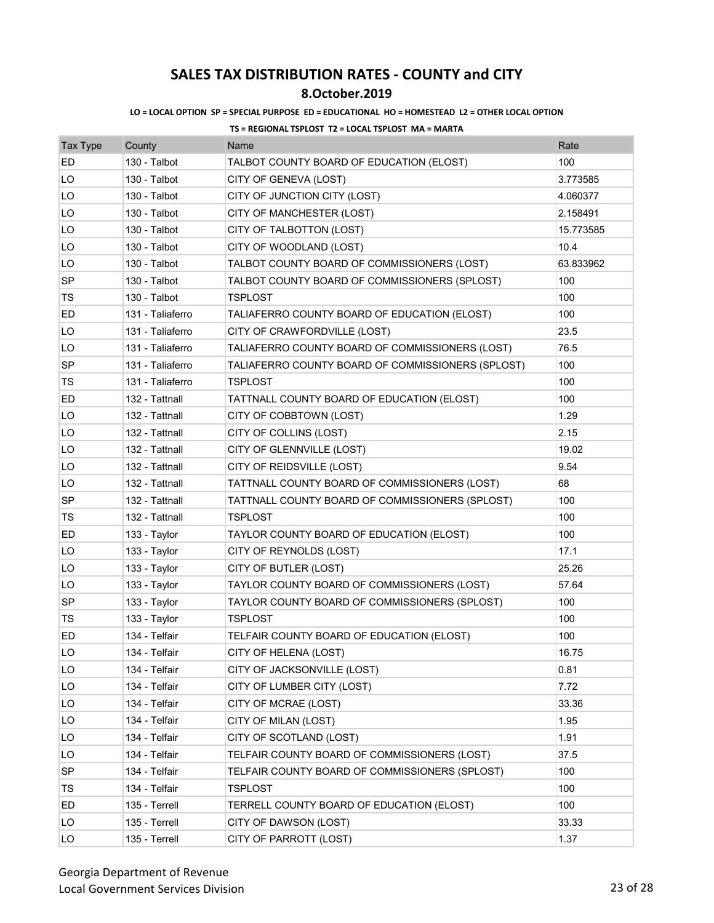### **8.October.2019**

#### **LO = LOCAL OPTION SP = SPECIAL PURPOSE ED = EDUCATIONAL HO = HOMESTEAD L2 = OTHER LOCAL OPTION**

| <b>Tax Type</b> | County           | Name                                              | Rate      |
|-----------------|------------------|---------------------------------------------------|-----------|
| ED              | 130 - Talbot     | TALBOT COUNTY BOARD OF EDUCATION (ELOST)          | 100       |
| LO              | 130 - Talbot     | CITY OF GENEVA (LOST)                             | 3.773585  |
| LO              | 130 - Talbot     | CITY OF JUNCTION CITY (LOST)                      | 4.060377  |
| LO              | 130 - Talbot     | CITY OF MANCHESTER (LOST)                         | 2.158491  |
| LO              | 130 - Talbot     | CITY OF TALBOTTON (LOST)                          | 15.773585 |
| LO              | 130 - Talbot     | CITY OF WOODLAND (LOST)                           | 10.4      |
| LO              | 130 - Talbot     | TALBOT COUNTY BOARD OF COMMISSIONERS (LOST)       | 63.833962 |
| SP              | 130 - Talbot     | TALBOT COUNTY BOARD OF COMMISSIONERS (SPLOST)     | 100       |
| TS              | 130 - Talbot     | <b>TSPLOST</b>                                    | 100       |
| ED              | 131 - Taliaferro | TALIAFERRO COUNTY BOARD OF EDUCATION (ELOST)      | 100       |
| LO              | 131 - Taliaferro | CITY OF CRAWFORDVILLE (LOST)                      | 23.5      |
| LO              | 131 - Taliaferro | TALIAFERRO COUNTY BOARD OF COMMISSIONERS (LOST)   | 76.5      |
| SP              | 131 - Taliaferro | TALIAFERRO COUNTY BOARD OF COMMISSIONERS (SPLOST) | 100       |
| TS              | 131 - Taliaferro | <b>TSPLOST</b>                                    | 100       |
| ED              | 132 - Tattnall   | TATTNALL COUNTY BOARD OF EDUCATION (ELOST)        | 100       |
| LO              | 132 - Tattnall   | CITY OF COBBTOWN (LOST)                           | 1.29      |
| LO              | 132 - Tattnall   | CITY OF COLLINS (LOST)                            | 2.15      |
| LO              | 132 - Tattnall   | CITY OF GLENNVILLE (LOST)                         | 19.02     |
| LO              | 132 - Tattnall   | CITY OF REIDSVILLE (LOST)                         | 9.54      |
| LO              | 132 - Tattnall   | TATTNALL COUNTY BOARD OF COMMISSIONERS (LOST)     | 68        |
| SP              | 132 - Tattnall   | TATTNALL COUNTY BOARD OF COMMISSIONERS (SPLOST)   | 100       |
| TS              | 132 - Tattnall   | TSPLOST                                           | 100       |
| ED              | 133 - Taylor     | TAYLOR COUNTY BOARD OF EDUCATION (ELOST)          | 100       |
| LO              | 133 - Taylor     | CITY OF REYNOLDS (LOST)                           | 17.1      |
| LO              | 133 - Taylor     | CITY OF BUTLER (LOST)                             | 25.26     |
| LO              | 133 - Taylor     | TAYLOR COUNTY BOARD OF COMMISSIONERS (LOST)       | 57.64     |
| <b>SP</b>       | 133 - Taylor     | TAYLOR COUNTY BOARD OF COMMISSIONERS (SPLOST)     | 100       |
| TS              | 133 - Taylor     | TSPLOST                                           | 100       |
| ED              | 134 - Telfair    | TELFAIR COUNTY BOARD OF EDUCATION (ELOST)         | 100       |
| LO              | 134 - Telfair    | CITY OF HELENA (LOST)                             | 16.75     |
| LO              | 134 - Telfair    | CITY OF JACKSONVILLE (LOST)                       | 0.81      |
| LO              | 134 - Telfair    | CITY OF LUMBER CITY (LOST)                        | 7.72      |
| LO              | 134 - Telfair    | CITY OF MCRAE (LOST)                              | 33.36     |
| LO              | 134 - Telfair    | CITY OF MILAN (LOST)                              | 1.95      |
| LO              | 134 - Telfair    | CITY OF SCOTLAND (LOST)                           | 1.91      |
| LO              | 134 - Telfair    | TELFAIR COUNTY BOARD OF COMMISSIONERS (LOST)      | 37.5      |
| SP              | 134 - Telfair    | TELFAIR COUNTY BOARD OF COMMISSIONERS (SPLOST)    | 100       |
| TS              | 134 - Telfair    | TSPLOST                                           | 100       |
| ED              | 135 - Terrell    | TERRELL COUNTY BOARD OF EDUCATION (ELOST)         | 100       |
| LO              | 135 - Terrell    | CITY OF DAWSON (LOST)                             | 33.33     |
| LO              | 135 - Terrell    | CITY OF PARROTT (LOST)                            | 1.37      |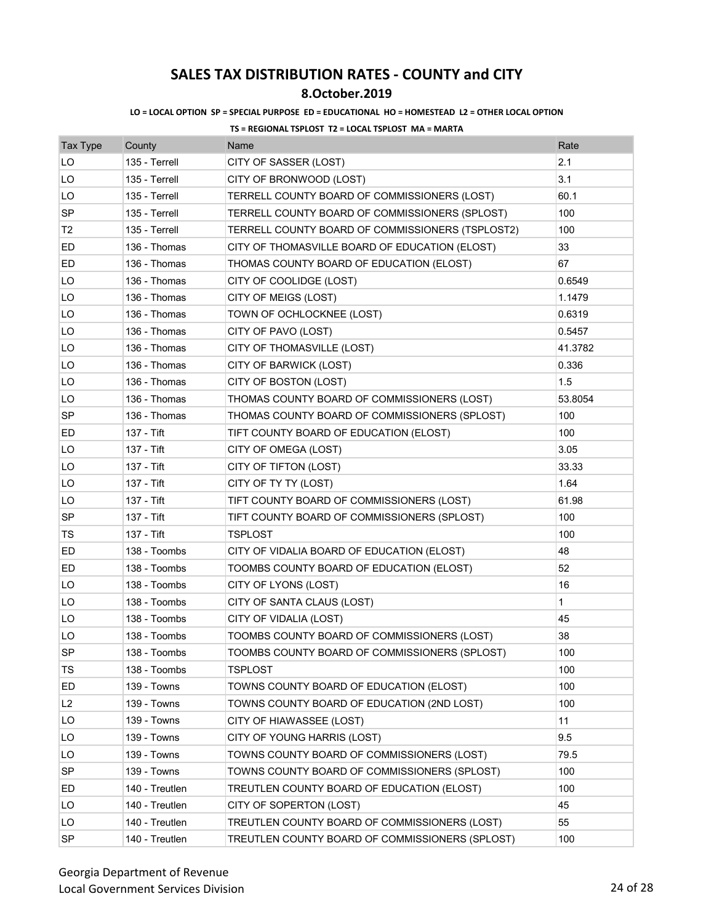## **8.October.2019**

### **LO = LOCAL OPTION SP = SPECIAL PURPOSE ED = EDUCATIONAL HO = HOMESTEAD L2 = OTHER LOCAL OPTION**

| <b>Tax Type</b> | County         | Name                                             | Rate         |
|-----------------|----------------|--------------------------------------------------|--------------|
| LO              | 135 - Terrell  | CITY OF SASSER (LOST)                            | 2.1          |
| LO              | 135 - Terrell  | CITY OF BRONWOOD (LOST)                          | 3.1          |
| LO              | 135 - Terrell  | TERRELL COUNTY BOARD OF COMMISSIONERS (LOST)     | 60.1         |
| <b>SP</b>       | 135 - Terrell  | TERRELL COUNTY BOARD OF COMMISSIONERS (SPLOST)   | 100          |
| T <sub>2</sub>  | 135 - Terrell  | TERRELL COUNTY BOARD OF COMMISSIONERS (TSPLOST2) | 100          |
| ED              | 136 - Thomas   | CITY OF THOMASVILLE BOARD OF EDUCATION (ELOST)   | 33           |
| ED              | 136 - Thomas   | THOMAS COUNTY BOARD OF EDUCATION (ELOST)         | 67           |
| LO              | 136 - Thomas   | CITY OF COOLIDGE (LOST)                          | 0.6549       |
| LO              | 136 - Thomas   | CITY OF MEIGS (LOST)                             | 1.1479       |
| LO              | 136 - Thomas   | TOWN OF OCHLOCKNEE (LOST)                        | 0.6319       |
| LO              | 136 - Thomas   | CITY OF PAVO (LOST)                              | 0.5457       |
| LO              | 136 - Thomas   | CITY OF THOMASVILLE (LOST)                       | 41.3782      |
| LO              | 136 - Thomas   | CITY OF BARWICK (LOST)                           | 0.336        |
| LO              | 136 - Thomas   | CITY OF BOSTON (LOST)                            | 1.5          |
| LO              | 136 - Thomas   | THOMAS COUNTY BOARD OF COMMISSIONERS (LOST)      | 53.8054      |
| SP              | 136 - Thomas   | THOMAS COUNTY BOARD OF COMMISSIONERS (SPLOST)    | 100          |
| ED              | 137 - Tift     | TIFT COUNTY BOARD OF EDUCATION (ELOST)           | 100          |
| LO              | 137 - Tift     | CITY OF OMEGA (LOST)                             | 3.05         |
| LO              | 137 - Tift     | CITY OF TIFTON (LOST)                            | 33.33        |
| LO              | 137 - Tift     | CITY OF TY TY (LOST)                             | 1.64         |
| LO              | 137 - Tift     | TIFT COUNTY BOARD OF COMMISSIONERS (LOST)        | 61.98        |
| <b>SP</b>       | 137 - Tift     | TIFT COUNTY BOARD OF COMMISSIONERS (SPLOST)      | 100          |
| TS              | 137 - Tift     | TSPLOST                                          | 100          |
| ED              | 138 - Toombs   | CITY OF VIDALIA BOARD OF EDUCATION (ELOST)       | 48           |
| ED              | 138 - Toombs   | TOOMBS COUNTY BOARD OF EDUCATION (ELOST)         | 52           |
| LO              | 138 - Toombs   | CITY OF LYONS (LOST)                             | 16           |
| LO              | 138 - Toombs   | CITY OF SANTA CLAUS (LOST)                       | $\mathbf{1}$ |
| LO              | 138 - Toombs   | CITY OF VIDALIA (LOST)                           | 45           |
| LO              | 138 - Toombs   | TOOMBS COUNTY BOARD OF COMMISSIONERS (LOST)      | 38           |
| SP              | 138 - Toombs   | TOOMBS COUNTY BOARD OF COMMISSIONERS (SPLOST)    | 100          |
| TS              | 138 - Toombs   | <b>TSPLOST</b>                                   | 100          |
| ED              | 139 - Towns    | TOWNS COUNTY BOARD OF EDUCATION (ELOST)          | 100          |
| L2              | 139 - Towns    | TOWNS COUNTY BOARD OF EDUCATION (2ND LOST)       | 100          |
| LO              | 139 - Towns    | CITY OF HIAWASSEE (LOST)                         | 11           |
| LO              | 139 - Towns    | CITY OF YOUNG HARRIS (LOST)                      | 9.5          |
| LO              | 139 - Towns    | TOWNS COUNTY BOARD OF COMMISSIONERS (LOST)       | 79.5         |
| SP              | 139 - Towns    | TOWNS COUNTY BOARD OF COMMISSIONERS (SPLOST)     | 100          |
| ED              | 140 - Treutlen | TREUTLEN COUNTY BOARD OF EDUCATION (ELOST)       | 100          |
| LO.             | 140 - Treutlen | CITY OF SOPERTON (LOST)                          | 45           |
| LO              | 140 - Treutlen | TREUTLEN COUNTY BOARD OF COMMISSIONERS (LOST)    | 55           |
| SP              | 140 - Treutlen | TREUTLEN COUNTY BOARD OF COMMISSIONERS (SPLOST)  | 100          |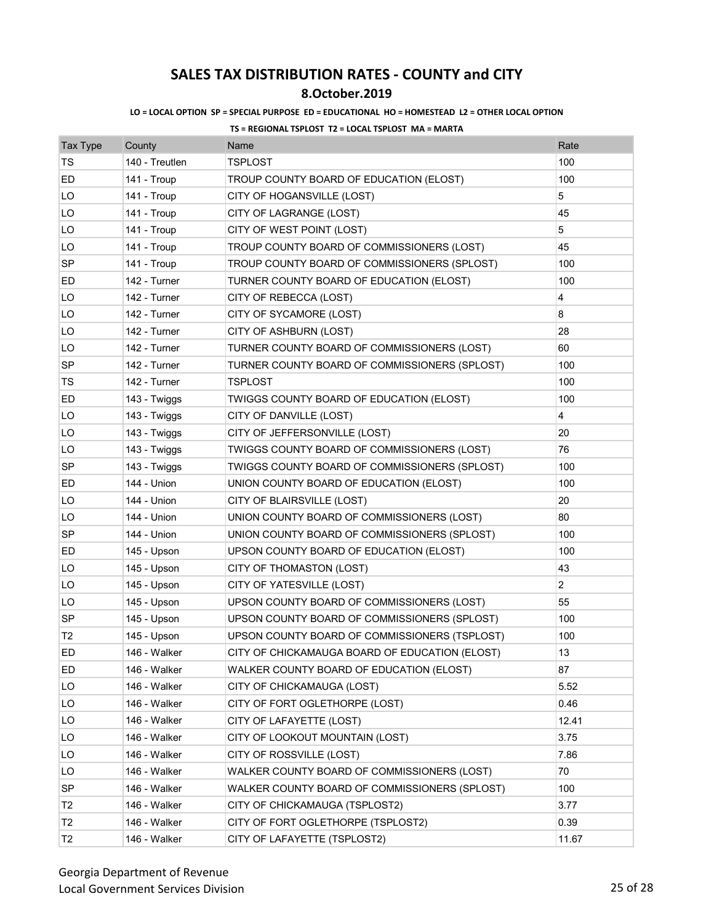### **8.October.2019**

### **LO = LOCAL OPTION SP = SPECIAL PURPOSE ED = EDUCATIONAL HO = HOMESTEAD L2 = OTHER LOCAL OPTION**

| <b>Tax Type</b> | County         | Name                                           | Rate           |
|-----------------|----------------|------------------------------------------------|----------------|
| <b>TS</b>       | 140 - Treutlen | <b>TSPLOST</b>                                 | 100            |
| ED              | 141 - Troup    | TROUP COUNTY BOARD OF EDUCATION (ELOST)        | 100            |
| LO              | 141 - Troup    | CITY OF HOGANSVILLE (LOST)                     | 5              |
| LO              | 141 - Troup    | CITY OF LAGRANGE (LOST)                        | 45             |
| LO              | 141 - Troup    | CITY OF WEST POINT (LOST)                      | 5              |
| LO              | 141 - Troup    | TROUP COUNTY BOARD OF COMMISSIONERS (LOST)     | 45             |
| SP              | 141 - Troup    | TROUP COUNTY BOARD OF COMMISSIONERS (SPLOST)   | 100            |
| ED              | 142 - Turner   | TURNER COUNTY BOARD OF EDUCATION (ELOST)       | 100            |
| LO              | 142 - Turner   | CITY OF REBECCA (LOST)                         | 4              |
| LO              | 142 - Turner   | CITY OF SYCAMORE (LOST)                        | 8              |
| LO              | 142 - Turner   | CITY OF ASHBURN (LOST)                         | 28             |
| LO              | 142 - Turner   | TURNER COUNTY BOARD OF COMMISSIONERS (LOST)    | 60             |
| SP              | 142 - Turner   | TURNER COUNTY BOARD OF COMMISSIONERS (SPLOST)  | 100            |
| TS              | 142 - Turner   | <b>TSPLOST</b>                                 | 100            |
| ED              | 143 - Twiggs   | TWIGGS COUNTY BOARD OF EDUCATION (ELOST)       | 100            |
| LO              | 143 - Twiggs   | CITY OF DANVILLE (LOST)                        | 4              |
| LO              | 143 - Twiggs   | CITY OF JEFFERSONVILLE (LOST)                  | 20             |
| LO              | 143 - Twiggs   | TWIGGS COUNTY BOARD OF COMMISSIONERS (LOST)    | 76             |
| <b>SP</b>       | 143 - Twiggs   | TWIGGS COUNTY BOARD OF COMMISSIONERS (SPLOST)  | 100            |
| ED              | 144 - Union    | UNION COUNTY BOARD OF EDUCATION (ELOST)        | 100            |
| LO              | 144 - Union    | CITY OF BLAIRSVILLE (LOST)                     | 20             |
| LO              | 144 - Union    | UNION COUNTY BOARD OF COMMISSIONERS (LOST)     | 80             |
| SP              | 144 - Union    | UNION COUNTY BOARD OF COMMISSIONERS (SPLOST)   | 100            |
| ED              | 145 - Upson    | UPSON COUNTY BOARD OF EDUCATION (ELOST)        | 100            |
| LO              | 145 - Upson    | CITY OF THOMASTON (LOST)                       | 43             |
| LO              | 145 - Upson    | CITY OF YATESVILLE (LOST)                      | $\overline{c}$ |
| LO              | 145 - Upson    | UPSON COUNTY BOARD OF COMMISSIONERS (LOST)     | 55             |
| <b>SP</b>       | 145 - Upson    | UPSON COUNTY BOARD OF COMMISSIONERS (SPLOST)   | 100            |
| T <sub>2</sub>  | 145 - Upson    | UPSON COUNTY BOARD OF COMMISSIONERS (TSPLOST)  | 100            |
| ED              | 146 - Walker   | CITY OF CHICKAMAUGA BOARD OF EDUCATION (ELOST) | 13             |
| ED              | 146 - Walker   | WALKER COUNTY BOARD OF EDUCATION (ELOST)       | 87             |
| LO              | 146 - Walker   | CITY OF CHICKAMAUGA (LOST)                     | 5.52           |
| LO              | 146 - Walker   | CITY OF FORT OGLETHORPE (LOST)                 | 0.46           |
| LO              | 146 - Walker   | CITY OF LAFAYETTE (LOST)                       | 12.41          |
| LO              | 146 - Walker   | CITY OF LOOKOUT MOUNTAIN (LOST)                | 3.75           |
| LO              | 146 - Walker   | CITY OF ROSSVILLE (LOST)                       | 7.86           |
| LO              | 146 - Walker   | WALKER COUNTY BOARD OF COMMISSIONERS (LOST)    | 70             |
| <b>SP</b>       | 146 - Walker   | WALKER COUNTY BOARD OF COMMISSIONERS (SPLOST)  | 100            |
| T <sub>2</sub>  | 146 - Walker   | CITY OF CHICKAMAUGA (TSPLOST2)                 | 3.77           |
| T <sub>2</sub>  | 146 - Walker   | CITY OF FORT OGLETHORPE (TSPLOST2)             | 0.39           |
| T2              | 146 - Walker   | CITY OF LAFAYETTE (TSPLOST2)                   | 11.67          |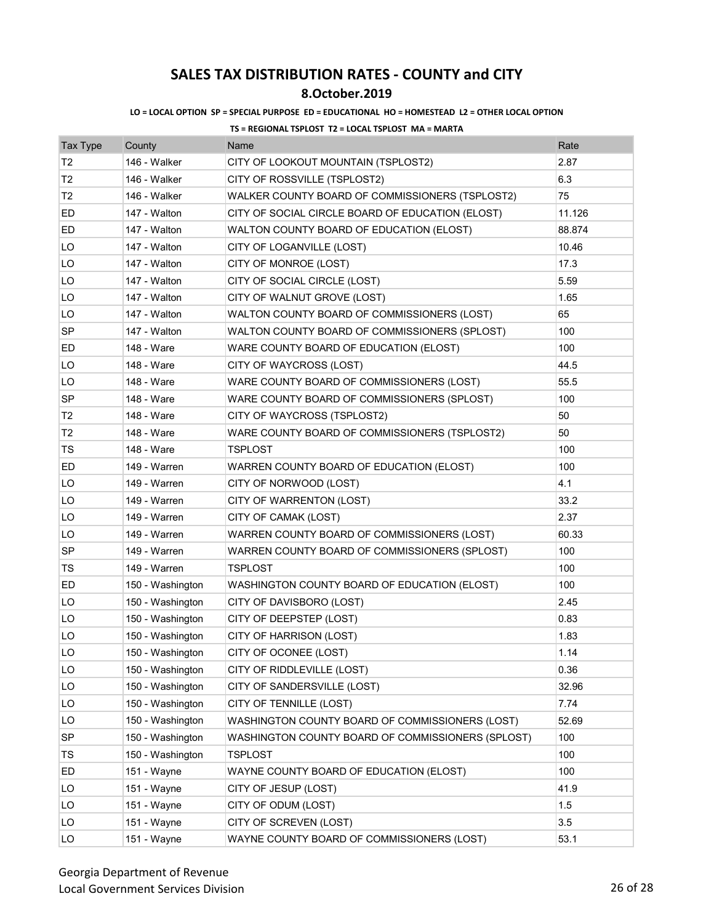## **8.October.2019**

### **LO = LOCAL OPTION SP = SPECIAL PURPOSE ED = EDUCATIONAL HO = HOMESTEAD L2 = OTHER LOCAL OPTION**

| <b>Tax Type</b> | County           | Name                                              | Rate   |
|-----------------|------------------|---------------------------------------------------|--------|
| T2              | 146 - Walker     | CITY OF LOOKOUT MOUNTAIN (TSPLOST2)               | 2.87   |
| T2              | 146 - Walker     | CITY OF ROSSVILLE (TSPLOST2)                      | 6.3    |
| T <sub>2</sub>  | 146 - Walker     | WALKER COUNTY BOARD OF COMMISSIONERS (TSPLOST2)   | 75     |
| ED              | 147 - Walton     | CITY OF SOCIAL CIRCLE BOARD OF EDUCATION (ELOST)  | 11.126 |
| ED              | 147 - Walton     | WALTON COUNTY BOARD OF EDUCATION (ELOST)          | 88.874 |
| LO              | 147 - Walton     | CITY OF LOGANVILLE (LOST)                         | 10.46  |
| LO              | 147 - Walton     | CITY OF MONROE (LOST)                             | 17.3   |
| LO              | 147 - Walton     | CITY OF SOCIAL CIRCLE (LOST)                      | 5.59   |
| LO              | 147 - Walton     | CITY OF WALNUT GROVE (LOST)                       | 1.65   |
| LO              | 147 - Walton     | WALTON COUNTY BOARD OF COMMISSIONERS (LOST)       | 65     |
| SP              | 147 - Walton     | WALTON COUNTY BOARD OF COMMISSIONERS (SPLOST)     | 100    |
| ED              | 148 - Ware       | WARE COUNTY BOARD OF EDUCATION (ELOST)            | 100    |
| LO              | 148 - Ware       | CITY OF WAYCROSS (LOST)                           | 44.5   |
| LO              | 148 - Ware       | WARE COUNTY BOARD OF COMMISSIONERS (LOST)         | 55.5   |
| <b>SP</b>       | 148 - Ware       | WARE COUNTY BOARD OF COMMISSIONERS (SPLOST)       | 100    |
| T <sub>2</sub>  | 148 - Ware       | CITY OF WAYCROSS (TSPLOST2)                       | 50     |
| T2              | 148 - Ware       | WARE COUNTY BOARD OF COMMISSIONERS (TSPLOST2)     | 50     |
| TS              | 148 - Ware       | TSPLOST                                           | 100    |
| ED              | 149 - Warren     | WARREN COUNTY BOARD OF EDUCATION (ELOST)          | 100    |
| LO              | 149 - Warren     | CITY OF NORWOOD (LOST)                            | 4.1    |
| LO              | 149 - Warren     | CITY OF WARRENTON (LOST)                          | 33.2   |
| LO              | 149 - Warren     | CITY OF CAMAK (LOST)                              | 2.37   |
| LO              | 149 - Warren     | WARREN COUNTY BOARD OF COMMISSIONERS (LOST)       | 60.33  |
| <b>SP</b>       | 149 - Warren     | WARREN COUNTY BOARD OF COMMISSIONERS (SPLOST)     | 100    |
| TS              | 149 - Warren     | <b>TSPLOST</b>                                    | 100    |
| ED              | 150 - Washington | WASHINGTON COUNTY BOARD OF EDUCATION (ELOST)      | 100    |
| LO              | 150 - Washington | CITY OF DAVISBORO (LOST)                          | 2.45   |
| LO              | 150 - Washington | CITY OF DEEPSTEP (LOST)                           | 0.83   |
| LO              | 150 - Washington | CITY OF HARRISON (LOST)                           | 1.83   |
| LO              | 150 - Washington | CITY OF OCONEE (LOST)                             | 1.14   |
| LO              | 150 - Washington | CITY OF RIDDLEVILLE (LOST)                        | 0.36   |
| LO              | 150 - Washington | CITY OF SANDERSVILLE (LOST)                       | 32.96  |
| LO              | 150 - Washington | CITY OF TENNILLE (LOST)                           | 7.74   |
| LO              | 150 - Washington | WASHINGTON COUNTY BOARD OF COMMISSIONERS (LOST)   | 52.69  |
| SP              | 150 - Washington | WASHINGTON COUNTY BOARD OF COMMISSIONERS (SPLOST) | 100    |
| TS              | 150 - Washington | TSPLOST                                           | 100    |
| ED              | 151 - Wayne      | WAYNE COUNTY BOARD OF EDUCATION (ELOST)           | 100    |
| LO              | 151 - Wayne      | CITY OF JESUP (LOST)                              | 41.9   |
| LO              | 151 - Wayne      | CITY OF ODUM (LOST)                               | 1.5    |
| LO              | 151 - Wayne      | CITY OF SCREVEN (LOST)                            | 3.5    |
| LO              | 151 - Wayne      | WAYNE COUNTY BOARD OF COMMISSIONERS (LOST)        | 53.1   |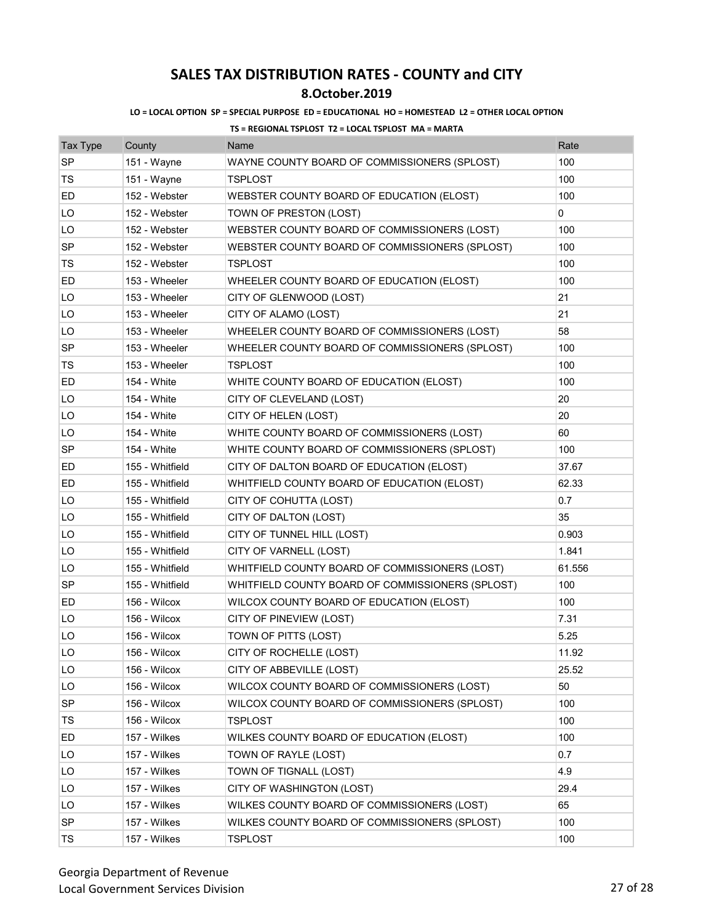## **8.October.2019**

### **LO = LOCAL OPTION SP = SPECIAL PURPOSE ED = EDUCATIONAL HO = HOMESTEAD L2 = OTHER LOCAL OPTION**

| <b>Tax Type</b> | County          | Name                                             | Rate   |
|-----------------|-----------------|--------------------------------------------------|--------|
| <b>SP</b>       | 151 - Wayne     | WAYNE COUNTY BOARD OF COMMISSIONERS (SPLOST)     | 100    |
| TS              | 151 - Wayne     | <b>TSPLOST</b>                                   | 100    |
| ED              | 152 - Webster   | WEBSTER COUNTY BOARD OF EDUCATION (ELOST)        | 100    |
| LO              | 152 - Webster   | TOWN OF PRESTON (LOST)                           | 0      |
| LO              | 152 - Webster   | WEBSTER COUNTY BOARD OF COMMISSIONERS (LOST)     | 100    |
| SP              | 152 - Webster   | WEBSTER COUNTY BOARD OF COMMISSIONERS (SPLOST)   | 100    |
| TS              | 152 - Webster   | TSPLOST                                          | 100    |
| ED              | 153 - Wheeler   | WHEELER COUNTY BOARD OF EDUCATION (ELOST)        | 100    |
| LO              | 153 - Wheeler   | CITY OF GLENWOOD (LOST)                          | 21     |
| LO              | 153 - Wheeler   | CITY OF ALAMO (LOST)                             | 21     |
| LO              | 153 - Wheeler   | WHEELER COUNTY BOARD OF COMMISSIONERS (LOST)     | 58     |
| SP              | 153 - Wheeler   | WHEELER COUNTY BOARD OF COMMISSIONERS (SPLOST)   | 100    |
| TS              | 153 - Wheeler   | TSPLOST                                          | 100    |
| ED              | 154 - White     | WHITE COUNTY BOARD OF EDUCATION (ELOST)          | 100    |
| LO              | 154 - White     | CITY OF CLEVELAND (LOST)                         | 20     |
| LO              | 154 - White     | CITY OF HELEN (LOST)                             | 20     |
| LO              | 154 - White     | WHITE COUNTY BOARD OF COMMISSIONERS (LOST)       | 60     |
| <b>SP</b>       | 154 - White     | WHITE COUNTY BOARD OF COMMISSIONERS (SPLOST)     | 100    |
| ED              | 155 - Whitfield | CITY OF DALTON BOARD OF EDUCATION (ELOST)        | 37.67  |
| ED              | 155 - Whitfield | WHITFIELD COUNTY BOARD OF EDUCATION (ELOST)      | 62.33  |
| LO              | 155 - Whitfield | CITY OF COHUTTA (LOST)                           | 0.7    |
| LO              | 155 - Whitfield | CITY OF DALTON (LOST)                            | 35     |
| LO              | 155 - Whitfield | CITY OF TUNNEL HILL (LOST)                       | 0.903  |
| LO              | 155 - Whitfield | CITY OF VARNELL (LOST)                           | 1.841  |
| LO              | 155 - Whitfield | WHITFIELD COUNTY BOARD OF COMMISSIONERS (LOST)   | 61.556 |
| <b>SP</b>       | 155 - Whitfield | WHITFIELD COUNTY BOARD OF COMMISSIONERS (SPLOST) | 100    |
| ED              | 156 - Wilcox    | WILCOX COUNTY BOARD OF EDUCATION (ELOST)         | 100    |
| LO              | 156 - Wilcox    | CITY OF PINEVIEW (LOST)                          | 7.31   |
| LO              | 156 - Wilcox    | TOWN OF PITTS (LOST)                             | 5.25   |
| LO              | 156 - Wilcox    | CITY OF ROCHELLE (LOST)                          | 11.92  |
| LO              | 156 - Wilcox    | CITY OF ABBEVILLE (LOST)                         | 25.52  |
| LO              | 156 - Wilcox    | WILCOX COUNTY BOARD OF COMMISSIONERS (LOST)      | 50     |
| <b>SP</b>       | 156 - Wilcox    | WILCOX COUNTY BOARD OF COMMISSIONERS (SPLOST)    | 100    |
| TS              | 156 - Wilcox    | <b>TSPLOST</b>                                   | 100    |
| ED              | 157 - Wilkes    | WILKES COUNTY BOARD OF EDUCATION (ELOST)         | 100    |
| LO              | 157 - Wilkes    | TOWN OF RAYLE (LOST)                             | 0.7    |
| LO              | 157 - Wilkes    | TOWN OF TIGNALL (LOST)                           | 4.9    |
| LO              | 157 - Wilkes    | CITY OF WASHINGTON (LOST)                        | 29.4   |
| LO              | 157 - Wilkes    | WILKES COUNTY BOARD OF COMMISSIONERS (LOST)      | 65     |
| SP              | 157 - Wilkes    | WILKES COUNTY BOARD OF COMMISSIONERS (SPLOST)    | 100    |
| TS              | 157 - Wilkes    | <b>TSPLOST</b>                                   | 100    |